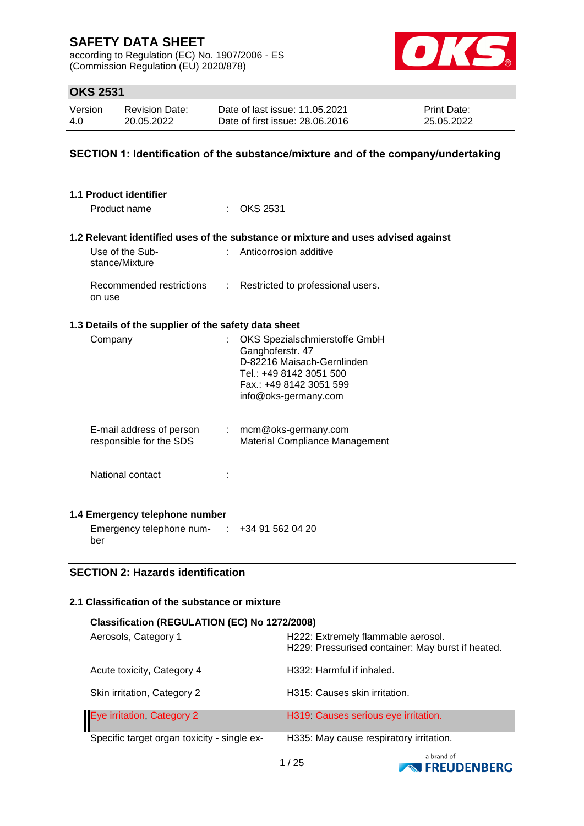according to Regulation (EC) No. 1907/2006 - ES (Commission Regulation (EU) 2020/878)



## **OKS 2531**

| Version | <b>Revision Date:</b> | Date of last issue: 11.05.2021  | <b>Print Date:</b> |
|---------|-----------------------|---------------------------------|--------------------|
| 4.0     | 20.05.2022            | Date of first issue: 28,06,2016 | 25.05.2022         |

### **SECTION 1: Identification of the substance/mixture and of the company/undertaking**

| <b>1.1 Product identifier</b>                        |    |                                                                                                                                                               |
|------------------------------------------------------|----|---------------------------------------------------------------------------------------------------------------------------------------------------------------|
| Product name                                         |    | $\therefore$ OKS 2531                                                                                                                                         |
|                                                      |    | 1.2 Relevant identified uses of the substance or mixture and uses advised against                                                                             |
| Use of the Sub-<br>stance/Mixture                    | t. | Anticorrosion additive                                                                                                                                        |
| Recommended restrictions<br>on use                   |    | : Restricted to professional users.                                                                                                                           |
| 1.3 Details of the supplier of the safety data sheet |    |                                                                                                                                                               |
| Company                                              |    | OKS Spezialschmierstoffe GmbH<br>Ganghoferstr. 47<br>D-82216 Maisach-Gernlinden<br>Tel.: +49 8142 3051 500<br>Fax.: +49 8142 3051 599<br>info@oks-germany.com |
| E-mail address of person<br>responsible for the SDS  |    | $:$ mcm@oks-germany.com<br>Material Compliance Management                                                                                                     |
| National contact                                     |    |                                                                                                                                                               |
| 1.4 Emergency telephone number                       |    |                                                                                                                                                               |
| Emergency telephone num- : +34 91 562 04 20<br>ber   |    |                                                                                                                                                               |
| <b>SECTION 2: Hazards identification</b>             |    |                                                                                                                                                               |
| 2.1 Classification of the substance or mixture       |    |                                                                                                                                                               |
| Classification (REGULATION (EC) No 1272/2008)        |    |                                                                                                                                                               |
| Aerosols, Category 1                                 |    | H222: Extremely flammable aerosol.<br>H229: Pressurised container: May burst if heated.                                                                       |
| Acute toxicity, Category 4                           |    | H332: Harmful if inhaled.                                                                                                                                     |
| Skin irritation, Category 2                          |    | H315: Causes skin irritation.                                                                                                                                 |

Eye irritation, Category 2 **H319:** Causes serious eye irritation. Specific target organ toxicity - single ex-<br>H335: May cause respiratory irritation. a brand of

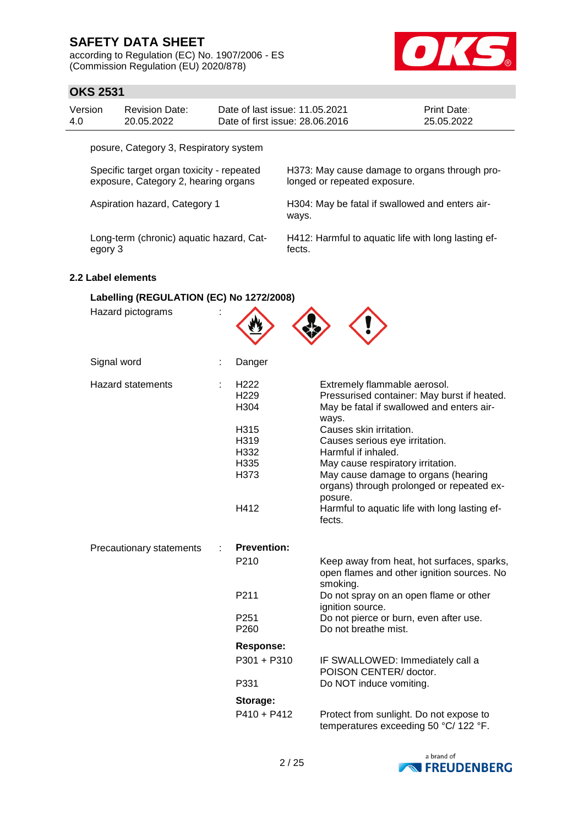according to Regulation (EC) No. 1907/2006 - ES (Commission Regulation (EU) 2020/878)



## **OKS 2531**

| Version | Revision Date: | Date of last issue: 11.05.2021  | <b>Print Date:</b> |
|---------|----------------|---------------------------------|--------------------|
| 4.0     | 20.05.2022     | Date of first issue: 28,06,2016 | 25.05.2022         |

posure, Category 3, Respiratory system

Specific target organ toxicity - repeated exposure, Category 2, hearing organs

H373: May cause damage to organs through prolonged or repeated exposure.

Aspiration hazard, Category 1 H304: May be fatal if swallowed and enters airways.

Long-term (chronic) aquatic hazard, Category 3

H412: Harmful to aquatic life with long lasting effects.

#### **2.2 Label elements**

### **Labelling (REGULATION (EC) No 1272/2008)**

Hazard pictograms :

| $\sim$ $\sim$ $\sim$ $\sim$ $\sim$ $\sim$ $\sim$ $\sim$ |  |
|---------------------------------------------------------|--|
|                                                         |  |
|                                                         |  |

| Signal word              | Danger                                       |                                                                                                                                   |
|--------------------------|----------------------------------------------|-----------------------------------------------------------------------------------------------------------------------------------|
| <b>Hazard statements</b> | H <sub>222</sub><br>H <sub>229</sub><br>H304 | Extremely flammable aerosol.<br>Pressurised container: May burst if heated.<br>May be fatal if swallowed and enters air-<br>ways. |
|                          | H315                                         | Causes skin irritation.                                                                                                           |
|                          | H319                                         | Causes serious eye irritation.                                                                                                    |
|                          | H332                                         | Harmful if inhaled.                                                                                                               |
|                          | H335<br>H373                                 | May cause respiratory irritation.<br>May cause damage to organs (hearing                                                          |
|                          |                                              | organs) through prolonged or repeated ex-<br>posure.                                                                              |
|                          | H412                                         | Harmful to aquatic life with long lasting ef-<br>fects.                                                                           |
|                          | <b>Prevention:</b>                           |                                                                                                                                   |
| Precautionary statements |                                              |                                                                                                                                   |
|                          | P <sub>210</sub>                             | Keep away from heat, hot surfaces, sparks,<br>open flames and other ignition sources. No                                          |
|                          | P <sub>211</sub>                             | smoking.<br>Do not spray on an open flame or other                                                                                |
|                          | P <sub>251</sub>                             | ignition source.<br>Do not pierce or burn, even after use.                                                                        |
|                          | P260                                         | Do not breathe mist.                                                                                                              |
|                          | Response:                                    |                                                                                                                                   |
|                          | P301 + P310                                  | IF SWALLOWED: Immediately call a                                                                                                  |
|                          | P331                                         | POISON CENTER/ doctor.<br>Do NOT induce vomiting.                                                                                 |
|                          | Storage:                                     |                                                                                                                                   |

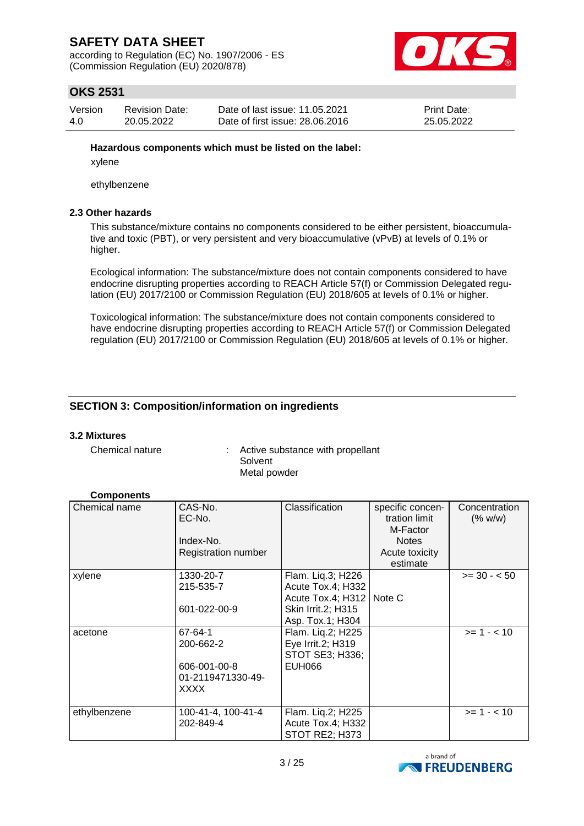according to Regulation (EC) No. 1907/2006 - ES (Commission Regulation (EU) 2020/878)



## **OKS 2531**

| Version | <b>Revision Date:</b> | Date of last issue: 11.05.2021  | Print Date: |
|---------|-----------------------|---------------------------------|-------------|
| 4.0     | 20.05.2022            | Date of first issue: 28,06,2016 | 25.05.2022  |

#### **Hazardous components which must be listed on the label:**

xylene

ethylbenzene

#### **2.3 Other hazards**

This substance/mixture contains no components considered to be either persistent, bioaccumulative and toxic (PBT), or very persistent and very bioaccumulative (vPvB) at levels of 0.1% or higher.

Ecological information: The substance/mixture does not contain components considered to have endocrine disrupting properties according to REACH Article 57(f) or Commission Delegated regulation (EU) 2017/2100 or Commission Regulation (EU) 2018/605 at levels of 0.1% or higher.

Toxicological information: The substance/mixture does not contain components considered to have endocrine disrupting properties according to REACH Article 57(f) or Commission Delegated regulation (EU) 2017/2100 or Commission Regulation (EU) 2018/605 at levels of 0.1% or higher.

### **SECTION 3: Composition/information on ingredients**

#### **3.2 Mixtures**

Chemical nature : Active substance with propellant Solvent Metal powder

#### **Components**

| Chemical name | CAS-No.<br>EC-No.<br>Index-No.<br>Registration number | Classification                                            | specific concen-<br>tration limit<br>M-Factor<br><b>Notes</b><br>Acute toxicity<br>estimate | Concentration<br>(% w/w) |
|---------------|-------------------------------------------------------|-----------------------------------------------------------|---------------------------------------------------------------------------------------------|--------------------------|
| xylene        | 1330-20-7                                             | Flam. Lig.3; H226                                         |                                                                                             | $>= 30 - 50$             |
|               | 215-535-7                                             | Acute Tox.4; H332                                         |                                                                                             |                          |
|               | 601-022-00-9                                          | Acute Tox.4; H312   Note C                                |                                                                                             |                          |
|               |                                                       | Skin Irrit.2; H315<br>Asp. Tox.1; H304                    |                                                                                             |                          |
| acetone       | 67-64-1<br>200-662-2                                  | Flam. Liq.2; H225<br>Eye Irrit.2; H319<br>STOT SE3; H336; |                                                                                             | $>= 1 - 10$              |
|               | 606-001-00-8<br>01-2119471330-49-<br>XXXX             | <b>EUH066</b>                                             |                                                                                             |                          |
| ethylbenzene  | 100-41-4, 100-41-4<br>202-849-4                       | Flam. Lig.2; H225<br>Acute Tox.4; H332<br>STOT RE2; H373  |                                                                                             | $>= 1 - < 10$            |

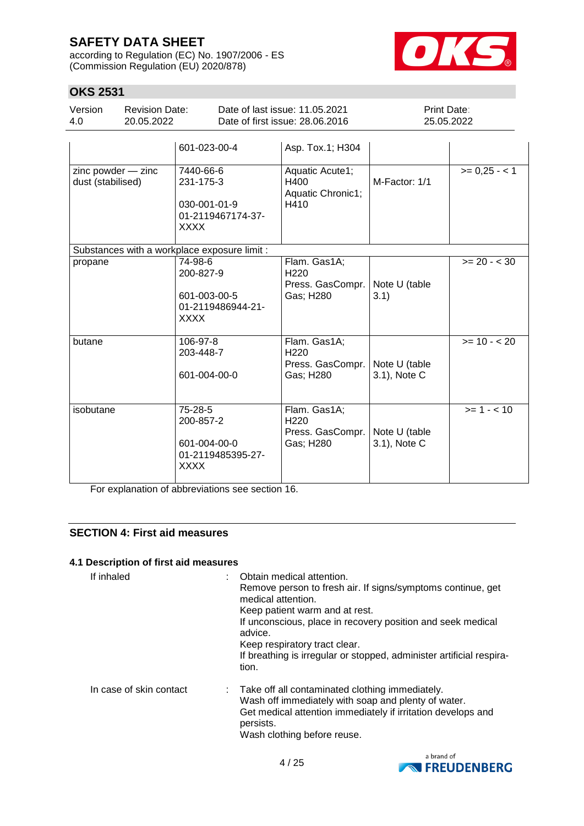according to Regulation (EC) No. 1907/2006 - ES (Commission Regulation (EU) 2020/878)



# **OKS 2531**

| ו טטב טוו                                   |                                     |                                                                            |                                                                   |                                  |               |
|---------------------------------------------|-------------------------------------|----------------------------------------------------------------------------|-------------------------------------------------------------------|----------------------------------|---------------|
| Version<br>4.0                              | <b>Revision Date:</b><br>20.05.2022 |                                                                            | Date of last issue: 11.05.2021<br>Date of first issue: 28.06.2016 | <b>Print Date:</b><br>25.05.2022 |               |
|                                             |                                     | 601-023-00-4                                                               | Asp. Tox.1; H304                                                  |                                  |               |
| $zinc$ powder $-$ zinc<br>dust (stabilised) |                                     | 7440-66-6<br>231-175-3<br>030-001-01-9<br>01-2119467174-37-<br><b>XXXX</b> | Aquatic Acute1;<br>H400<br>Aquatic Chronic1;<br>H410              | M-Factor: 1/1                    | $>= 0.25 - 1$ |
|                                             |                                     | Substances with a workplace exposure limit :                               |                                                                   |                                  |               |
| propane                                     |                                     | 74-98-6<br>200-827-9<br>601-003-00-5<br>01-2119486944-21-<br><b>XXXX</b>   | Flam. Gas1A;<br>H <sub>220</sub><br>Press. GasCompr.<br>Gas; H280 | Note U (table<br>3.1)            | $>= 20 - 30$  |
| butane                                      |                                     | 106-97-8<br>203-448-7<br>601-004-00-0                                      | Flam. Gas1A;<br>H <sub>220</sub><br>Press. GasCompr.<br>Gas; H280 | Note U (table<br>3.1), Note C    | $>= 10 - 20$  |
| isobutane                                   |                                     | 75-28-5<br>200-857-2<br>601-004-00-0<br>01-2119485395-27-<br><b>XXXX</b>   | Flam. Gas1A;<br>H <sub>220</sub><br>Press. GasCompr.<br>Gas; H280 | Note U (table<br>3.1), Note C    | $>= 1 - 10$   |

For explanation of abbreviations see section 16.

## **SECTION 4: First aid measures**

#### **4.1 Description of first aid measures**

| If inhaled              | Obtain medical attention.<br>÷<br>Remove person to fresh air. If signs/symptoms continue, get<br>medical attention.<br>Keep patient warm and at rest.<br>If unconscious, place in recovery position and seek medical<br>advice.<br>Keep respiratory tract clear.<br>If breathing is irregular or stopped, administer artificial respira-<br>tion. |
|-------------------------|---------------------------------------------------------------------------------------------------------------------------------------------------------------------------------------------------------------------------------------------------------------------------------------------------------------------------------------------------|
| In case of skin contact | : Take off all contaminated clothing immediately.<br>Wash off immediately with soap and plenty of water.<br>Get medical attention immediately if irritation develops and<br>persists.<br>Wash clothing before reuse.                                                                                                                              |

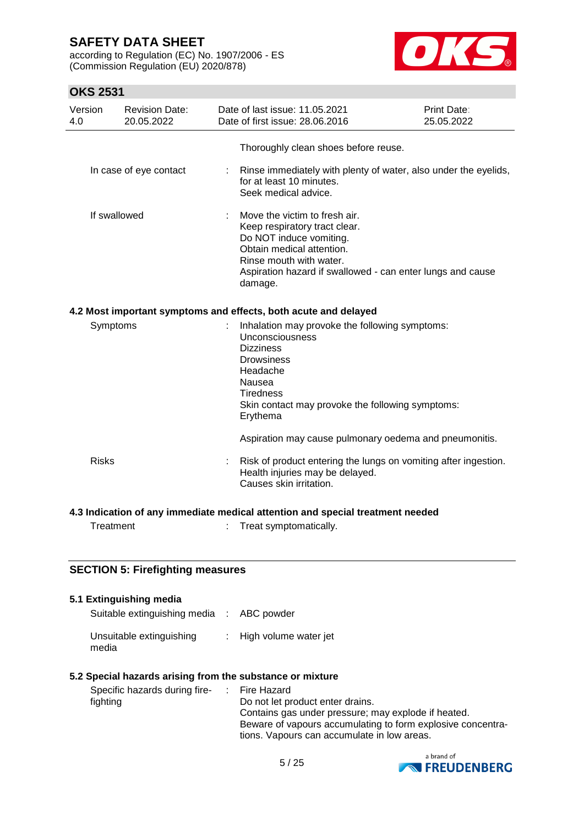according to Regulation (EC) No. 1907/2006 - ES (Commission Regulation (EU) 2020/878)



## **OKS 2531**

| Version<br>4.0 |              | <b>Revision Date:</b><br>20.05.2022                                                                                                                                                                                  | Date of last issue: 11.05.2021<br>Date of first issue: 28.06.2016                                                                                                                                                          | Print Date:<br>25.05.2022 |
|----------------|--------------|----------------------------------------------------------------------------------------------------------------------------------------------------------------------------------------------------------------------|----------------------------------------------------------------------------------------------------------------------------------------------------------------------------------------------------------------------------|---------------------------|
|                |              | In case of eye contact                                                                                                                                                                                               | Thoroughly clean shoes before reuse.<br>Rinse immediately with plenty of water, also under the eyelids,<br>for at least 10 minutes.<br>Seek medical advice.                                                                |                           |
|                | If swallowed |                                                                                                                                                                                                                      | Move the victim to fresh air.<br>Keep respiratory tract clear.<br>Do NOT induce vomiting.<br>Obtain medical attention.<br>Rinse mouth with water.<br>Aspiration hazard if swallowed - can enter lungs and cause<br>damage. |                           |
|                |              |                                                                                                                                                                                                                      | 4.2 Most important symptoms and effects, both acute and delayed                                                                                                                                                            |                           |
| Symptoms       |              | Inhalation may provoke the following symptoms:<br>Unconsciousness<br><b>Dizziness</b><br><b>Drowsiness</b><br>Headache<br>Nausea<br><b>Tiredness</b><br>Skin contact may provoke the following symptoms:<br>Erythema |                                                                                                                                                                                                                            |                           |
|                |              |                                                                                                                                                                                                                      | Aspiration may cause pulmonary oedema and pneumonitis.                                                                                                                                                                     |                           |
|                | <b>Risks</b> |                                                                                                                                                                                                                      | Risk of product entering the lungs on vomiting after ingestion.<br>Health injuries may be delayed.<br>Causes skin irritation.                                                                                              |                           |
|                |              |                                                                                                                                                                                                                      | 4.3 Indication of any immediate medical attention and special treatment needed                                                                                                                                             |                           |
|                | Treatment    |                                                                                                                                                                                                                      | Treat symptomatically.                                                                                                                                                                                                     |                           |

## **SECTION 5: Firefighting measures**

| 5.1 Extinguishing media                                                                                  |  |
|----------------------------------------------------------------------------------------------------------|--|
| Suitable extinguishing media : ABC powder                                                                |  |
| Unsuitable extinguishing : High volume water jet<br>media                                                |  |
| 5.2 Special hazards arising from the substance or mixture<br>Coopitio because during fire in Fire Hecard |  |

| Specific hazards during fire- | : Fire Hazard                                                                                              |
|-------------------------------|------------------------------------------------------------------------------------------------------------|
| fighting                      | Do not let product enter drains.                                                                           |
|                               | Contains gas under pressure; may explode if heated.                                                        |
|                               | Beware of vapours accumulating to form explosive concentra-<br>tions. Vapours can accumulate in low areas. |
|                               |                                                                                                            |

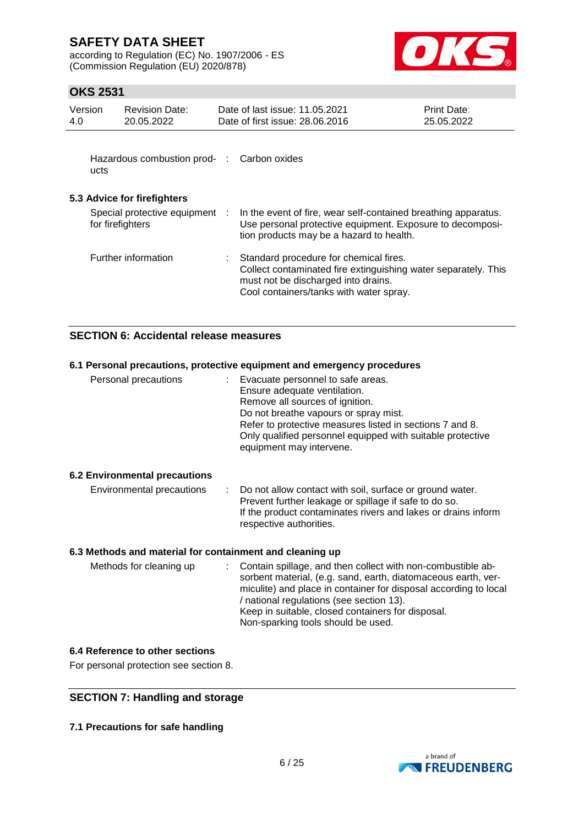according to Regulation (EC) No. 1907/2006 - ES (Commission Regulation (EU) 2020/878)



## **OKS 2531**

| Version<br>4.0 | <b>Revision Date:</b><br>20.05.2022                                             |                | Date of last issue: 11.05.2021<br>Date of first issue: 28,06,2016                                                                                                       | <b>Print Date:</b><br>25.05.2022 |
|----------------|---------------------------------------------------------------------------------|----------------|-------------------------------------------------------------------------------------------------------------------------------------------------------------------------|----------------------------------|
| ucts           | Hazardous combustion prod- : Carbon oxides                                      |                |                                                                                                                                                                         |                                  |
|                | 5.3 Advice for firefighters<br>Special protective equipment<br>for firefighters | $\mathbb{R}^n$ | In the event of fire, wear self-contained breathing apparatus.<br>Use personal protective equipment. Exposure to decomposi-<br>tion products may be a hazard to health. |                                  |
|                | Further information                                                             |                | Standard procedure for chemical fires.<br>Collect contaminated fire extinguishing water separately. This                                                                |                                  |

must not be discharged into drains. Cool containers/tanks with water spray.

#### **SECTION 6: Accidental release measures**

#### **6.1 Personal precautions, protective equipment and emergency procedures**

| Personal precautions        | ٠.<br>$\mathbf{r}$ | Evacuate personnel to safe areas.<br>Ensure adequate ventilation.<br>Remove all sources of ignition.<br>Do not breathe vapours or spray mist.<br>Refer to protective measures listed in sections 7 and 8.<br>Only qualified personnel equipped with suitable protective |
|-----------------------------|--------------------|-------------------------------------------------------------------------------------------------------------------------------------------------------------------------------------------------------------------------------------------------------------------------|
| 2 Environmental precautions |                    | equipment may intervene.                                                                                                                                                                                                                                                |

### **6.2 Environmental precautions**

| Environmental precautions | : Do not allow contact with soil, surface or ground water.<br>Prevent further leakage or spillage if safe to do so.<br>If the product contaminates rivers and lakes or drains inform<br>respective authorities. |
|---------------------------|-----------------------------------------------------------------------------------------------------------------------------------------------------------------------------------------------------------------|
|                           |                                                                                                                                                                                                                 |

#### **6.3 Methods and material for containment and cleaning up**

| Methods for cleaning up | : Contain spillage, and then collect with non-combustible ab-<br>sorbent material, (e.g. sand, earth, diatomaceous earth, ver-<br>miculite) and place in container for disposal according to local<br>/ national regulations (see section 13).<br>Keep in suitable, closed containers for disposal.<br>Non-sparking tools should be used. |
|-------------------------|-------------------------------------------------------------------------------------------------------------------------------------------------------------------------------------------------------------------------------------------------------------------------------------------------------------------------------------------|
|-------------------------|-------------------------------------------------------------------------------------------------------------------------------------------------------------------------------------------------------------------------------------------------------------------------------------------------------------------------------------------|

#### **6.4 Reference to other sections**

For personal protection see section 8.

## **SECTION 7: Handling and storage**

**7.1 Precautions for safe handling**

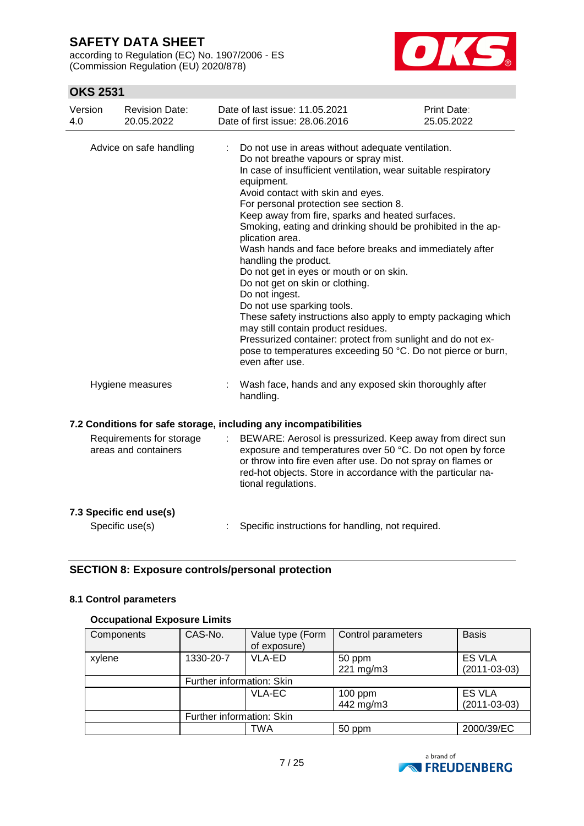according to Regulation (EC) No. 1907/2006 - ES (Commission Regulation (EU) 2020/878)



## **OKS 2531**

| Version<br>4.0          | <b>Revision Date:</b><br>20.05.2022              | Date of last issue: 11.05.2021<br>Date of first issue: 28.06.2016                                                                                                                                                                                                                                                                                                                                                                                                                                                                                                                                                                                                                                                                                                                                                                                                            | Print Date:<br>25.05.2022 |  |
|-------------------------|--------------------------------------------------|------------------------------------------------------------------------------------------------------------------------------------------------------------------------------------------------------------------------------------------------------------------------------------------------------------------------------------------------------------------------------------------------------------------------------------------------------------------------------------------------------------------------------------------------------------------------------------------------------------------------------------------------------------------------------------------------------------------------------------------------------------------------------------------------------------------------------------------------------------------------------|---------------------------|--|
| Advice on safe handling |                                                  | Do not use in areas without adequate ventilation.<br>Do not breathe vapours or spray mist.<br>In case of insufficient ventilation, wear suitable respiratory<br>equipment.<br>Avoid contact with skin and eyes.<br>For personal protection see section 8.<br>Keep away from fire, sparks and heated surfaces.<br>Smoking, eating and drinking should be prohibited in the ap-<br>plication area.<br>Wash hands and face before breaks and immediately after<br>handling the product.<br>Do not get in eyes or mouth or on skin.<br>Do not get on skin or clothing.<br>Do not ingest.<br>Do not use sparking tools.<br>These safety instructions also apply to empty packaging which<br>may still contain product residues.<br>Pressurized container: protect from sunlight and do not ex-<br>pose to temperatures exceeding 50 °C. Do not pierce or burn,<br>even after use. |                           |  |
| Hygiene measures        |                                                  | Wash face, hands and any exposed skin thoroughly after<br>handling.                                                                                                                                                                                                                                                                                                                                                                                                                                                                                                                                                                                                                                                                                                                                                                                                          |                           |  |
|                         |                                                  | 7.2 Conditions for safe storage, including any incompatibilities                                                                                                                                                                                                                                                                                                                                                                                                                                                                                                                                                                                                                                                                                                                                                                                                             |                           |  |
|                         | Requirements for storage<br>areas and containers | BEWARE: Aerosol is pressurized. Keep away from direct sun<br>exposure and temperatures over 50 °C. Do not open by force<br>or throw into fire even after use. Do not spray on flames or<br>red-hot objects. Store in accordance with the particular na-<br>tional regulations.                                                                                                                                                                                                                                                                                                                                                                                                                                                                                                                                                                                               |                           |  |
|                         | 7.3 Specific end use(s)                          |                                                                                                                                                                                                                                                                                                                                                                                                                                                                                                                                                                                                                                                                                                                                                                                                                                                                              |                           |  |
|                         | Specific use(s)                                  | Specific instructions for handling, not required.                                                                                                                                                                                                                                                                                                                                                                                                                                                                                                                                                                                                                                                                                                                                                                                                                            |                           |  |

### **SECTION 8: Exposure controls/personal protection**

#### **8.1 Control parameters**

#### **Occupational Exposure Limits**

| Components | CAS-No.   | Value type (Form<br>of exposure) | Control parameters | <b>Basis</b>       |  |  |
|------------|-----------|----------------------------------|--------------------|--------------------|--|--|
| xylene     | 1330-20-7 | VLA-ED                           | 50 ppm             | <b>ES VLA</b>      |  |  |
|            |           |                                  | 221 mg/m3          | $(2011 - 03 - 03)$ |  |  |
|            |           | Further information: Skin        |                    |                    |  |  |
|            |           | VLA-EC                           | 100 ppm            | <b>ES VLA</b>      |  |  |
|            |           |                                  | 442 mg/m3          | $(2011 - 03 - 03)$ |  |  |
|            |           | Further information: Skin        |                    |                    |  |  |
|            |           | TWA                              | 50 ppm             | 2000/39/EC         |  |  |

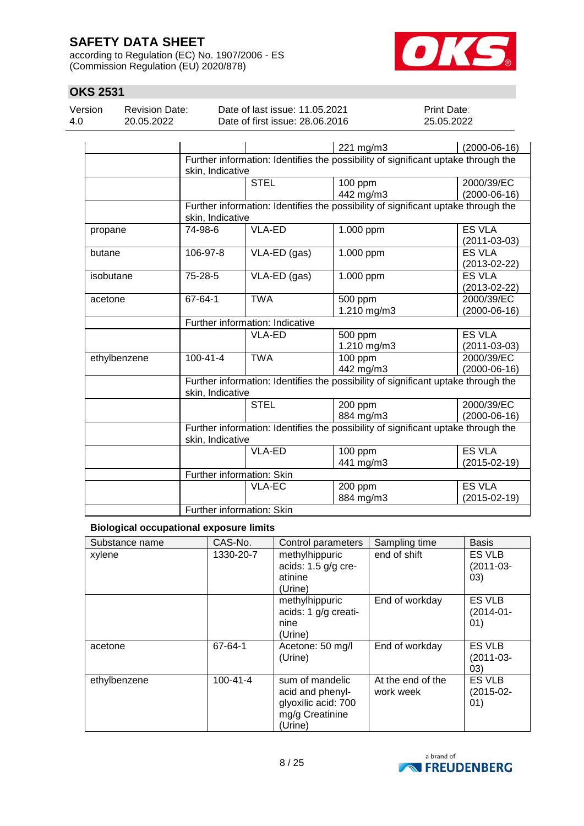according to Regulation (EC) No. 1907/2006 - ES (Commission Regulation (EU) 2020/878)



## **OKS 2531**

| Version | Revision Date: | Date of last issue: 11.05.2021  | <b>Print Date:</b> |
|---------|----------------|---------------------------------|--------------------|
| 4.0     | 20.05.2022     | Date of first issue: 28,06,2016 | 25.05.2022         |

|              |                                                                                                       |               | 221 mg/m3                                                                         | $(2000-06-16)$                      |  |  |
|--------------|-------------------------------------------------------------------------------------------------------|---------------|-----------------------------------------------------------------------------------|-------------------------------------|--|--|
|              | skin, Indicative                                                                                      |               | Further information: Identifies the possibility of significant uptake through the |                                     |  |  |
|              |                                                                                                       | <b>STEL</b>   | 100 ppm<br>442 mg/m3                                                              | 2000/39/EC<br>$(2000-06-16)$        |  |  |
|              | skin, Indicative                                                                                      |               | Further information: Identifies the possibility of significant uptake through the |                                     |  |  |
| propane      | 74-98-6                                                                                               | VLA-ED        | 1.000 ppm                                                                         | <b>ES VLA</b><br>$(2011 - 03 - 03)$ |  |  |
| butane       | 106-97-8                                                                                              | VLA-ED (gas)  | 1.000 ppm                                                                         | <b>ES VLA</b><br>$(2013 - 02 - 22)$ |  |  |
| isobutane    | 75-28-5                                                                                               | VLA-ED (gas)  | 1.000 ppm                                                                         | <b>ES VLA</b><br>$(2013 - 02 - 22)$ |  |  |
| acetone      | 67-64-1                                                                                               | <b>TWA</b>    | 500 ppm<br>1.210 mg/m3                                                            | 2000/39/EC<br>$(2000-06-16)$        |  |  |
|              | Further information: Indicative                                                                       |               |                                                                                   |                                     |  |  |
|              |                                                                                                       | <b>VLA-ED</b> | 500 ppm<br>1.210 mg/m3                                                            | <b>ES VLA</b><br>$(2011 - 03 - 03)$ |  |  |
| ethylbenzene | $100 - 41 - 4$                                                                                        | <b>TWA</b>    | 100 ppm<br>442 mg/m3                                                              | 2000/39/EC<br>$(2000-06-16)$        |  |  |
|              | skin, Indicative                                                                                      |               | Further information: Identifies the possibility of significant uptake through the |                                     |  |  |
|              |                                                                                                       | <b>STEL</b>   | 200 ppm<br>884 mg/m3                                                              | 2000/39/EC<br>$(2000-06-16)$        |  |  |
|              | Further information: Identifies the possibility of significant uptake through the<br>skin, Indicative |               |                                                                                   |                                     |  |  |
|              |                                                                                                       | VLA-ED        | 100 ppm<br>441 mg/m3                                                              | <b>ES VLA</b><br>$(2015 - 02 - 19)$ |  |  |
|              | Further information: Skin                                                                             |               |                                                                                   |                                     |  |  |
|              |                                                                                                       | <b>VLA-EC</b> | 200 ppm<br>884 mg/m3                                                              | <b>ES VLA</b><br>$(2015 - 02 - 19)$ |  |  |
|              | Further information: Skin                                                                             |               |                                                                                   |                                     |  |  |

### **Biological occupational exposure limits**

| Substance name | CAS-No.        | Control parameters                                                                       | Sampling time                  | <b>Basis</b>                  |
|----------------|----------------|------------------------------------------------------------------------------------------|--------------------------------|-------------------------------|
| xylene         | 1330-20-7      | methylhippuric<br>acids: 1.5 g/g cre-<br>atinine<br>(Urine)                              | end of shift                   | ES VLB<br>$(2011-03-$<br>(03) |
|                |                | methylhippuric<br>acids: 1 g/g creati-<br>nine<br>(Urine)                                | End of workday                 | ES VLB<br>(2014-01-<br>01)    |
| acetone        | 67-64-1        | Acetone: 50 mg/l<br>(Urine)                                                              | End of workday                 | ES VLB<br>(2011-03-<br>(03)   |
| ethylbenzene   | $100 - 41 - 4$ | sum of mandelic<br>acid and phenyl-<br>glyoxilic acid: 700<br>mg/g Creatinine<br>(Urine) | At the end of the<br>work week | ES VLB<br>(2015-02-<br>01)    |

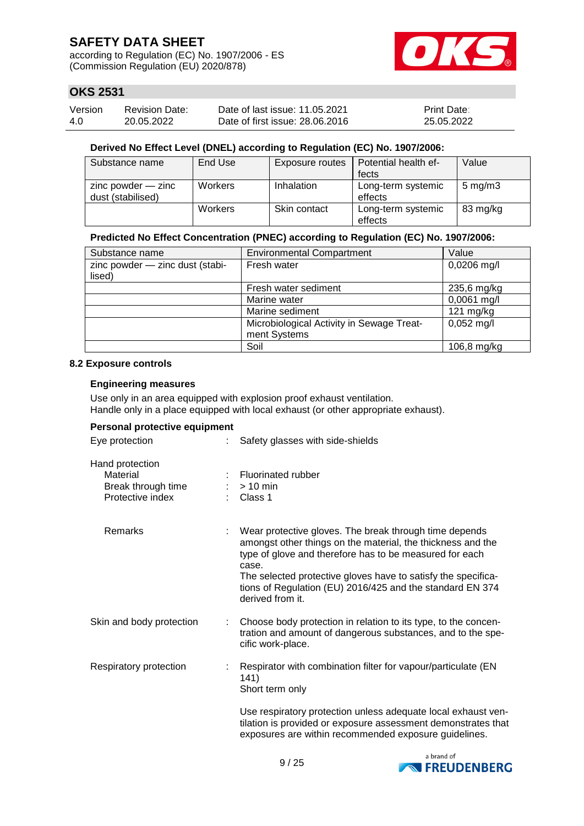according to Regulation (EC) No. 1907/2006 - ES (Commission Regulation (EU) 2020/878)



## **OKS 2531**

| Version | <b>Revision Date:</b> | Date of last issue: 11.05.2021  | <b>Print Date:</b> |
|---------|-----------------------|---------------------------------|--------------------|
| 4.0     | 20.05.2022            | Date of first issue: 28,06,2016 | 25.05.2022         |

#### **Derived No Effect Level (DNEL) according to Regulation (EC) No. 1907/2006:**

| Substance name                              | End Use        | <b>Exposure routes</b> | Potential health ef-<br>fects | Value              |
|---------------------------------------------|----------------|------------------------|-------------------------------|--------------------|
| $zinc$ powder $-$ zinc<br>dust (stabilised) | <b>Workers</b> | Inhalation             | Long-term systemic<br>effects | $5 \text{ mg/m}$ 3 |
|                                             | Workers        | Skin contact           | Long-term systemic<br>effects | 83 mg/kg           |

#### **Predicted No Effect Concentration (PNEC) according to Regulation (EC) No. 1907/2006:**

| Substance name                            | <b>Environmental Compartment</b>          | Value               |
|-------------------------------------------|-------------------------------------------|---------------------|
| zinc powder - zinc dust (stabi-<br>lised) | Fresh water                               | $0,0206$ mg/l       |
|                                           | Fresh water sediment                      | 235,6 mg/kg         |
|                                           | Marine water                              | $0,0061$ mg/l       |
|                                           | Marine sediment                           | $121 \text{ mg/kg}$ |
|                                           | Microbiological Activity in Sewage Treat- | $0,052$ mg/l        |
|                                           | ment Systems                              |                     |
|                                           | Soil                                      | $106,8$ mg/kg       |

#### **8.2 Exposure controls**

### **Engineering measures**

Use only in an area equipped with explosion proof exhaust ventilation. Handle only in a place equipped with local exhaust (or other appropriate exhaust).

#### **Personal protective equipment**

| Eye protection                                                        |   | Safety glasses with side-shields                                                                                                                                                                                                                                                                                                            |
|-----------------------------------------------------------------------|---|---------------------------------------------------------------------------------------------------------------------------------------------------------------------------------------------------------------------------------------------------------------------------------------------------------------------------------------------|
| Hand protection<br>Material<br>Break through time<br>Protective index |   | Fluorinated rubber<br>$>10$ min<br>Class 1                                                                                                                                                                                                                                                                                                  |
| Remarks                                                               |   | Wear protective gloves. The break through time depends<br>amongst other things on the material, the thickness and the<br>type of glove and therefore has to be measured for each<br>case.<br>The selected protective gloves have to satisfy the specifica-<br>tions of Regulation (EU) 2016/425 and the standard EN 374<br>derived from it. |
| Skin and body protection                                              | ÷ | Choose body protection in relation to its type, to the concen-<br>tration and amount of dangerous substances, and to the spe-<br>cific work-place.                                                                                                                                                                                          |
| Respiratory protection                                                |   | Respirator with combination filter for vapour/particulate (EN<br>141)<br>Short term only                                                                                                                                                                                                                                                    |
|                                                                       |   | Use respiratory protection unless adequate local exhaust ven-<br>tilation is provided or exposure assessment demonstrates that                                                                                                                                                                                                              |

exposures are within recommended exposure guidelines.

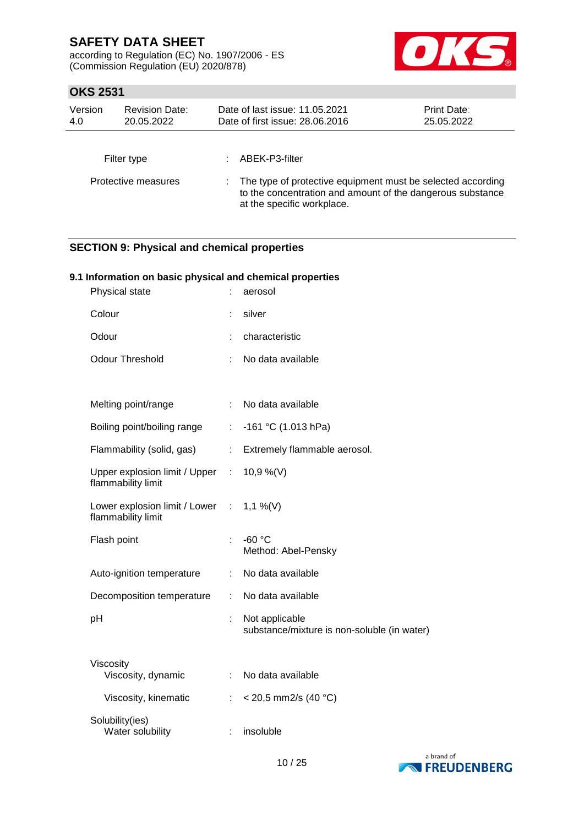according to Regulation (EC) No. 1907/2006 - ES (Commission Regulation (EU) 2020/878)



## **OKS 2531**

| Version | <b>Revision Date:</b>              | Date of last issue: 11.05.2021                                                                                                                                            | <b>Print Date:</b> |
|---------|------------------------------------|---------------------------------------------------------------------------------------------------------------------------------------------------------------------------|--------------------|
| 4.0     | 20.05.2022                         | Date of first issue: 28,06,2016                                                                                                                                           | 25.05.2022         |
|         | Filter type<br>Protective measures | ABEK-P3-filter<br>The type of protective equipment must be selected according<br>to the concentration and amount of the dangerous substance<br>at the specific workplace. |                    |

### **SECTION 9: Physical and chemical properties**

### **9.1 Information on basic physical and chemical properties**

| Physical state                                                 |                           | aerosol                                                       |
|----------------------------------------------------------------|---------------------------|---------------------------------------------------------------|
| Colour                                                         | ÷                         | silver                                                        |
| Odour                                                          |                           | characteristic                                                |
| <b>Odour Threshold</b>                                         |                           | No data available                                             |
|                                                                |                           |                                                               |
| Melting point/range                                            | $\mathbb{R}^{\mathbb{Z}}$ | No data available                                             |
| Boiling point/boiling range                                    | ÷                         | -161 °C (1.013 hPa)                                           |
| Flammability (solid, gas)                                      | ÷                         | Extremely flammable aerosol.                                  |
| Upper explosion limit / Upper :<br>flammability limit          |                           | 10,9 %(V)                                                     |
| Lower explosion limit / Lower : 1,1 %(V)<br>flammability limit |                           |                                                               |
| Flash point                                                    | ÷                         | $-60 °C$<br>Method: Abel-Pensky                               |
| Auto-ignition temperature                                      | ÷                         | No data available                                             |
| Decomposition temperature                                      | ÷.                        | No data available                                             |
| pH                                                             | ÷                         | Not applicable<br>substance/mixture is non-soluble (in water) |
| Viscosity                                                      |                           |                                                               |
| Viscosity, dynamic                                             | ÷                         | No data available                                             |
| Viscosity, kinematic                                           | ÷                         | $<$ 20,5 mm2/s (40 °C)                                        |
| Solubility(ies)<br>Water solubility                            | ÷                         | insoluble                                                     |

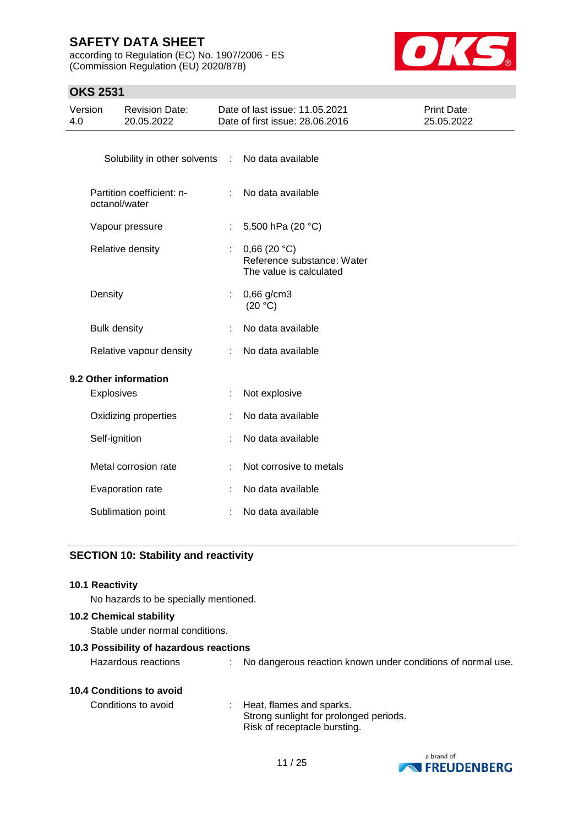according to Regulation (EC) No. 1907/2006 - ES (Commission Regulation (EU) 2020/878)



## **OKS 2531**

| Version<br>4.0 |                     | <b>Revision Date:</b><br>20.05.2022              |    | Date of last issue: 11.05.2021<br>Date of first issue: 28.06.2016    | <b>Print Date:</b><br>25.05.2022 |
|----------------|---------------------|--------------------------------------------------|----|----------------------------------------------------------------------|----------------------------------|
|                |                     | Solubility in other solvents : No data available |    |                                                                      |                                  |
|                |                     | Partition coefficient: n-<br>octanol/water       |    | No data available                                                    |                                  |
|                |                     | Vapour pressure                                  |    | 5.500 hPa (20 °C)                                                    |                                  |
|                |                     | Relative density                                 | ÷. | 0,66(20 °C)<br>Reference substance: Water<br>The value is calculated |                                  |
|                | Density             |                                                  |    | 0,66 g/cm3<br>(20 °C)                                                |                                  |
|                | <b>Bulk density</b> |                                                  |    | No data available                                                    |                                  |
|                |                     | Relative vapour density                          | ÷  | No data available                                                    |                                  |
|                |                     | 9.2 Other information                            |    |                                                                      |                                  |
|                | Explosives          |                                                  |    | Not explosive                                                        |                                  |
|                |                     | Oxidizing properties                             |    | No data available                                                    |                                  |
|                | Self-ignition       |                                                  |    | No data available                                                    |                                  |
|                |                     | Metal corrosion rate                             |    | Not corrosive to metals                                              |                                  |
|                |                     | Evaporation rate                                 | t. | No data available                                                    |                                  |
|                |                     | Sublimation point                                | ÷  | No data available                                                    |                                  |

## **SECTION 10: Stability and reactivity**

| <b>10.1 Reactivity</b><br>No hazards to be specially mentioned.   |                                                                                                    |
|-------------------------------------------------------------------|----------------------------------------------------------------------------------------------------|
| <b>10.2 Chemical stability</b><br>Stable under normal conditions. |                                                                                                    |
| 10.3 Possibility of hazardous reactions                           |                                                                                                    |
| Hazardous reactions                                               | : No dangerous reaction known under conditions of normal use.                                      |
| 10.4 Conditions to avoid                                          |                                                                                                    |
| Conditions to avoid                                               | Heat, flames and sparks.<br>Strong sunlight for prolonged periods.<br>Risk of receptacle bursting. |

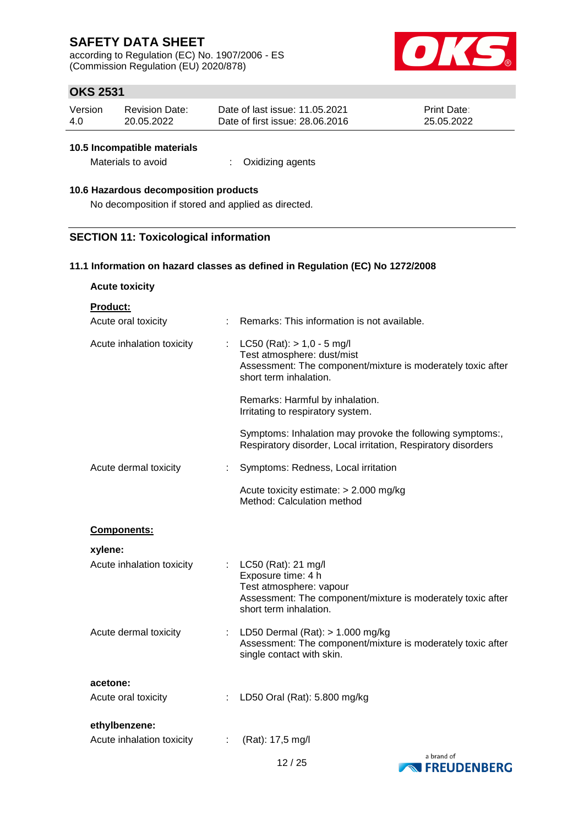according to Regulation (EC) No. 1907/2006 - ES (Commission Regulation (EU) 2020/878)



## **OKS 2531**

| Version | <b>Revision Date:</b> | Date of last issue: 11.05.2021  | <b>Print Date:</b> |
|---------|-----------------------|---------------------------------|--------------------|
| 4.0     | 20.05.2022            | Date of first issue: 28,06,2016 | 25.05.2022         |

#### **10.5 Incompatible materials**

| Oxidizing agents |
|------------------|
|                  |

#### **10.6 Hazardous decomposition products**

No decomposition if stored and applied as directed.

### **SECTION 11: Toxicological information**

#### **11.1 Information on hazard classes as defined in Regulation (EC) No 1272/2008**

#### **Acute toxicity**

**Product:**

| Acute oral toxicity       |   | Remarks: This information is not available.                                                                                                                   |                                  |
|---------------------------|---|---------------------------------------------------------------------------------------------------------------------------------------------------------------|----------------------------------|
| Acute inhalation toxicity |   | LC50 (Rat): $> 1,0 - 5$ mg/l<br>Test atmosphere: dust/mist<br>Assessment: The component/mixture is moderately toxic after<br>short term inhalation.           |                                  |
|                           |   | Remarks: Harmful by inhalation.<br>Irritating to respiratory system.                                                                                          |                                  |
|                           |   | Symptoms: Inhalation may provoke the following symptoms:,<br>Respiratory disorder, Local irritation, Respiratory disorders                                    |                                  |
| Acute dermal toxicity     | ÷ | Symptoms: Redness, Local irritation                                                                                                                           |                                  |
|                           |   | Acute toxicity estimate: $> 2.000$ mg/kg<br>Method: Calculation method                                                                                        |                                  |
| Components:               |   |                                                                                                                                                               |                                  |
| xylene:                   |   |                                                                                                                                                               |                                  |
| Acute inhalation toxicity |   | LC50 (Rat): 21 mg/l<br>Exposure time: 4 h<br>Test atmosphere: vapour<br>Assessment: The component/mixture is moderately toxic after<br>short term inhalation. |                                  |
| Acute dermal toxicity     |   | LD50 Dermal $(Rat):$ > 1.000 mg/kg<br>Assessment: The component/mixture is moderately toxic after<br>single contact with skin.                                |                                  |
| acetone:                  |   |                                                                                                                                                               |                                  |
| Acute oral toxicity       | ÷ | LD50 Oral (Rat): 5.800 mg/kg                                                                                                                                  |                                  |
| ethylbenzene:             |   |                                                                                                                                                               |                                  |
| Acute inhalation toxicity | ÷ | (Rat): 17,5 mg/l                                                                                                                                              |                                  |
|                           |   | 12/25                                                                                                                                                         | a brand of<br><b>FREUDENBERG</b> |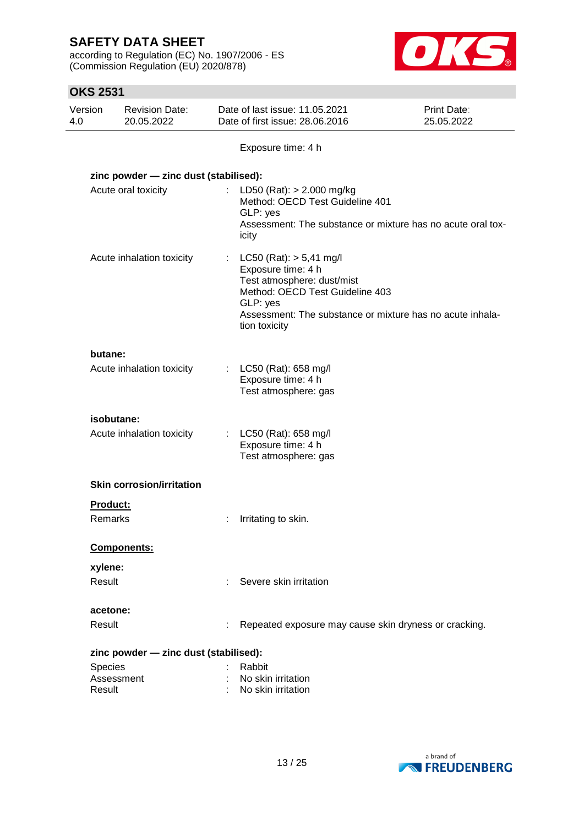according to Regulation (EC) No. 1907/2006 - ES (Commission Regulation (EU) 2020/878)



| Version<br>4.0 | <b>Revision Date:</b><br>20.05.2022   |    | Date of last issue: 11.05.2021<br>Date of first issue: 28.06.2016                                                                                                                                            | Print Date:<br>25.05.2022 |
|----------------|---------------------------------------|----|--------------------------------------------------------------------------------------------------------------------------------------------------------------------------------------------------------------|---------------------------|
|                |                                       |    | Exposure time: 4 h                                                                                                                                                                                           |                           |
|                | zinc powder - zinc dust (stabilised): |    |                                                                                                                                                                                                              |                           |
|                | Acute oral toxicity                   |    | LD50 (Rat): $> 2.000$ mg/kg<br>Method: OECD Test Guideline 401<br>GLP: yes<br>Assessment: The substance or mixture has no acute oral tox-<br>icity                                                           |                           |
|                | Acute inhalation toxicity             | ÷. | $LC50$ (Rat): $> 5,41$ mg/l<br>Exposure time: 4 h<br>Test atmosphere: dust/mist<br>Method: OECD Test Guideline 403<br>GLP: yes<br>Assessment: The substance or mixture has no acute inhala-<br>tion toxicity |                           |
|                | butane:                               |    |                                                                                                                                                                                                              |                           |
|                | Acute inhalation toxicity             |    | LC50 (Rat): 658 mg/l<br>Exposure time: 4 h<br>Test atmosphere: gas                                                                                                                                           |                           |
|                | isobutane:                            |    |                                                                                                                                                                                                              |                           |
|                | Acute inhalation toxicity             |    | LC50 (Rat): 658 mg/l<br>Exposure time: 4 h<br>Test atmosphere: gas                                                                                                                                           |                           |
|                | <b>Skin corrosion/irritation</b>      |    |                                                                                                                                                                                                              |                           |
|                | Product:                              |    |                                                                                                                                                                                                              |                           |
|                | Remarks                               |    | Irritating to skin.                                                                                                                                                                                          |                           |
|                | Components:                           |    |                                                                                                                                                                                                              |                           |
|                | xylene:                               |    |                                                                                                                                                                                                              |                           |
| Result         |                                       |    | Severe skin irritation                                                                                                                                                                                       |                           |
|                | acetone:                              |    |                                                                                                                                                                                                              |                           |
| Result         |                                       |    | Repeated exposure may cause skin dryness or cracking.                                                                                                                                                        |                           |
|                | zinc powder - zinc dust (stabilised): |    |                                                                                                                                                                                                              |                           |
|                | Species                               |    | Rabbit                                                                                                                                                                                                       |                           |
| Result         | Assessment                            |    | No skin irritation<br>No skin irritation                                                                                                                                                                     |                           |

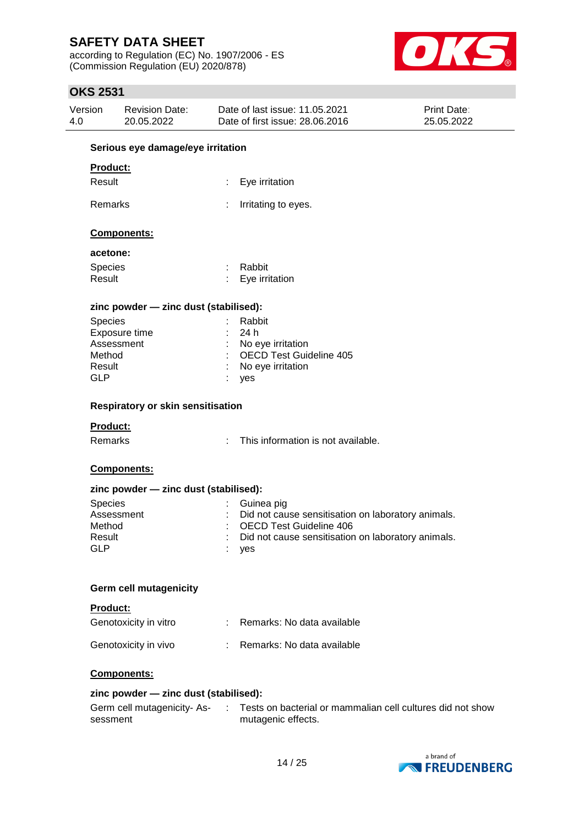according to Regulation (EC) No. 1907/2006 - ES (Commission Regulation (EU) 2020/878)



| <b>OKS 2531</b>  |                                          |                           |                                                                                  |                           |
|------------------|------------------------------------------|---------------------------|----------------------------------------------------------------------------------|---------------------------|
| Version<br>4.0   | <b>Revision Date:</b><br>20.05.2022      |                           | Date of last issue: 11.05.2021<br>Date of first issue: 28,06,2016                | Print Date:<br>25.05.2022 |
|                  | Serious eye damage/eye irritation        |                           |                                                                                  |                           |
| <b>Product:</b>  |                                          |                           |                                                                                  |                           |
| Result           |                                          |                           | Eye irritation                                                                   |                           |
| Remarks          |                                          |                           | Irritating to eyes.                                                              |                           |
|                  | <b>Components:</b>                       |                           |                                                                                  |                           |
| acetone:         |                                          |                           |                                                                                  |                           |
| Species          |                                          |                           | Rabbit                                                                           |                           |
| Result           |                                          |                           | Eye irritation                                                                   |                           |
|                  | zinc powder - zinc dust (stabilised):    |                           |                                                                                  |                           |
| Species          |                                          |                           | Rabbit                                                                           |                           |
|                  | Exposure time<br>Assessment              |                           | 24 h                                                                             |                           |
| Method           |                                          |                           | No eye irritation<br><b>OECD Test Guideline 405</b>                              |                           |
| Result           |                                          |                           | No eye irritation                                                                |                           |
| GLP              |                                          |                           | yes                                                                              |                           |
|                  | <b>Respiratory or skin sensitisation</b> |                           |                                                                                  |                           |
| Product:         |                                          |                           |                                                                                  |                           |
| <b>Remarks</b>   |                                          | $\mathbb{R}^{\mathbb{Z}}$ | This information is not available.                                               |                           |
|                  | Components:                              |                           |                                                                                  |                           |
|                  | zinc powder - zinc dust (stabilised):    |                           |                                                                                  |                           |
| <b>Species</b>   |                                          |                           | Guinea pig                                                                       |                           |
|                  | Assessment                               |                           | Did not cause sensitisation on laboratory animals.                               |                           |
| Method<br>Result |                                          |                           | OECD Test Guideline 406                                                          |                           |
| <b>GLP</b>       |                                          |                           | Did not cause sensitisation on laboratory animals.<br>yes                        |                           |
|                  | Germ cell mutagenicity                   |                           |                                                                                  |                           |
| Product:         |                                          |                           |                                                                                  |                           |
|                  | Genotoxicity in vitro                    |                           | Remarks: No data available                                                       |                           |
|                  | Genotoxicity in vivo                     |                           | Remarks: No data available                                                       |                           |
|                  | Components:                              |                           |                                                                                  |                           |
|                  | zinc powder - zinc dust (stabilised):    |                           |                                                                                  |                           |
| sessment         | Germ cell mutagenicity- As-              | $\sim 100$                | Tests on bacterial or mammalian cell cultures did not show<br>mutagenic effects. |                           |
|                  |                                          |                           |                                                                                  |                           |

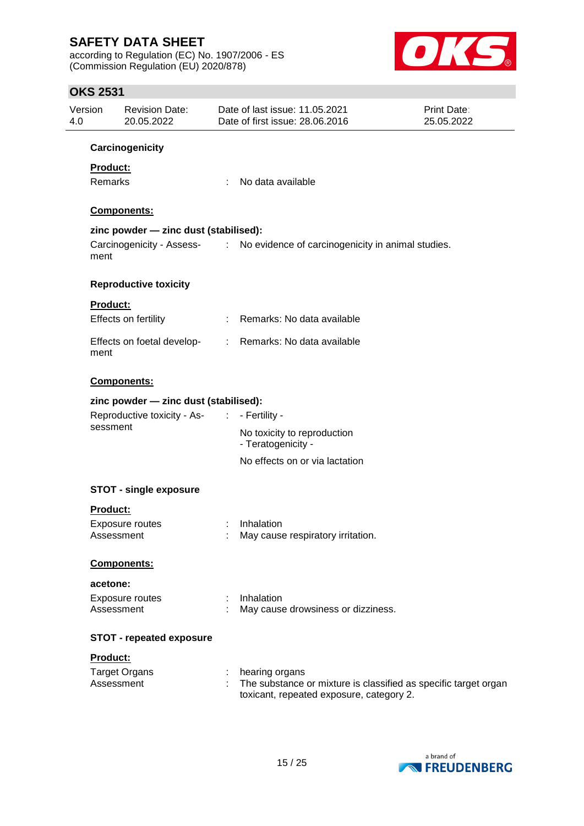according to Regulation (EC) No. 1907/2006 - ES (Commission Regulation (EU) 2020/878)



| Version<br>4.0 |                                       | <b>Revision Date:</b><br>20.05.2022   |               | Date of last issue: 11.05.2021<br>Date of first issue: 28.06.2016                                                             | <b>Print Date:</b><br>25.05.2022 |  |  |  |
|----------------|---------------------------------------|---------------------------------------|---------------|-------------------------------------------------------------------------------------------------------------------------------|----------------------------------|--|--|--|
|                |                                       | Carcinogenicity                       |               |                                                                                                                               |                                  |  |  |  |
|                | Product:<br>Remarks                   |                                       |               | No data available                                                                                                             |                                  |  |  |  |
|                |                                       | Components:                           |               |                                                                                                                               |                                  |  |  |  |
|                | zinc powder - zinc dust (stabilised): |                                       |               |                                                                                                                               |                                  |  |  |  |
|                | ment                                  | Carcinogenicity - Assess- :           |               | No evidence of carcinogenicity in animal studies.                                                                             |                                  |  |  |  |
|                |                                       | <b>Reproductive toxicity</b>          |               |                                                                                                                               |                                  |  |  |  |
|                | <b>Product:</b>                       |                                       |               |                                                                                                                               |                                  |  |  |  |
|                |                                       | Effects on fertility                  |               | : Remarks: No data available                                                                                                  |                                  |  |  |  |
|                | ment                                  | Effects on foetal develop-            |               | : Remarks: No data available                                                                                                  |                                  |  |  |  |
|                |                                       | Components:                           |               |                                                                                                                               |                                  |  |  |  |
|                |                                       | zinc powder - zinc dust (stabilised): |               |                                                                                                                               |                                  |  |  |  |
|                | Reproductive toxicity - As-           | $\sim 10^{11}$ m $^{-1}$              | - Fertility - |                                                                                                                               |                                  |  |  |  |
|                |                                       | sessment                              |               | No toxicity to reproduction<br>- Teratogenicity -                                                                             |                                  |  |  |  |
|                |                                       |                                       |               | No effects on or via lactation                                                                                                |                                  |  |  |  |
|                |                                       | <b>STOT - single exposure</b>         |               |                                                                                                                               |                                  |  |  |  |
|                | Product:                              |                                       |               |                                                                                                                               |                                  |  |  |  |
|                | Assessment                            | <b>Exposure routes</b>                |               | Inhalation<br>May cause respiratory irritation.                                                                               |                                  |  |  |  |
|                |                                       | Components:                           |               |                                                                                                                               |                                  |  |  |  |
|                | acetone:                              |                                       |               |                                                                                                                               |                                  |  |  |  |
|                | Assessment                            | <b>Exposure routes</b>                |               | Inhalation<br>May cause drowsiness or dizziness.                                                                              |                                  |  |  |  |
|                |                                       | <b>STOT - repeated exposure</b>       |               |                                                                                                                               |                                  |  |  |  |
|                | Product:                              |                                       |               |                                                                                                                               |                                  |  |  |  |
|                | Assessment                            | <b>Target Organs</b>                  |               | hearing organs<br>The substance or mixture is classified as specific target organ<br>toxicant, repeated exposure, category 2. |                                  |  |  |  |

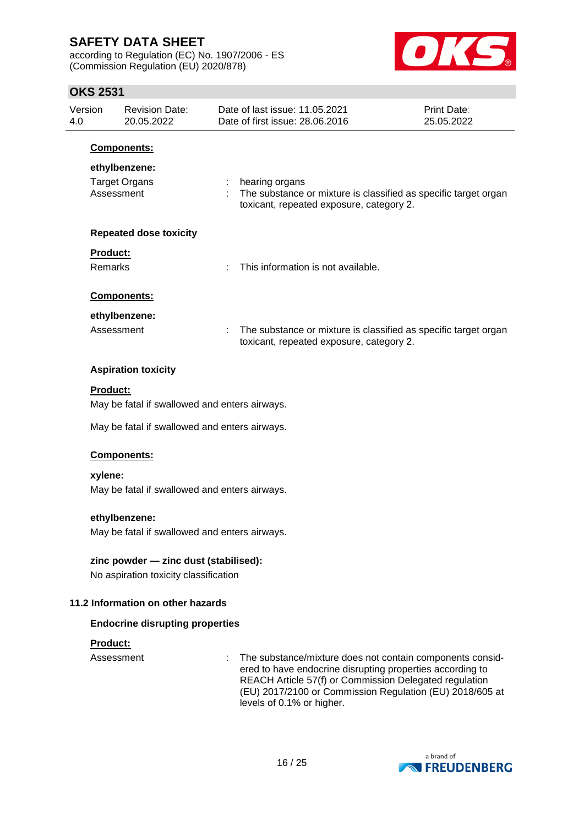according to Regulation (EC) No. 1907/2006 - ES (Commission Regulation (EU) 2020/878)



| 4.0 | UI LUU I<br>Version                | <b>Revision Date:</b><br>20.05.2022           | Date of last issue: 11.05.2021<br>Date of first issue: 28.06.2016                                                                                                                                                                                                         | Print Date:<br>25.05.2022 |
|-----|------------------------------------|-----------------------------------------------|---------------------------------------------------------------------------------------------------------------------------------------------------------------------------------------------------------------------------------------------------------------------------|---------------------------|
|     |                                    |                                               |                                                                                                                                                                                                                                                                           |                           |
|     |                                    | <b>Components:</b>                            |                                                                                                                                                                                                                                                                           |                           |
|     |                                    | ethylbenzene:                                 | hearing organs                                                                                                                                                                                                                                                            |                           |
|     | <b>Target Organs</b><br>Assessment |                                               | The substance or mixture is classified as specific target organ<br>toxicant, repeated exposure, category 2.                                                                                                                                                               |                           |
|     |                                    | <b>Repeated dose toxicity</b>                 |                                                                                                                                                                                                                                                                           |                           |
|     | Product:                           |                                               |                                                                                                                                                                                                                                                                           |                           |
|     | Remarks                            |                                               | This information is not available.                                                                                                                                                                                                                                        |                           |
|     |                                    | Components:                                   |                                                                                                                                                                                                                                                                           |                           |
|     |                                    | ethylbenzene:                                 |                                                                                                                                                                                                                                                                           |                           |
|     | Assessment                         |                                               | The substance or mixture is classified as specific target organ<br>toxicant, repeated exposure, category 2.                                                                                                                                                               |                           |
|     |                                    | <b>Aspiration toxicity</b>                    |                                                                                                                                                                                                                                                                           |                           |
|     | <b>Product:</b>                    | May be fatal if swallowed and enters airways. |                                                                                                                                                                                                                                                                           |                           |
|     |                                    | May be fatal if swallowed and enters airways. |                                                                                                                                                                                                                                                                           |                           |
|     |                                    | <b>Components:</b>                            |                                                                                                                                                                                                                                                                           |                           |
|     | xylene:                            |                                               |                                                                                                                                                                                                                                                                           |                           |
|     |                                    | May be fatal if swallowed and enters airways. |                                                                                                                                                                                                                                                                           |                           |
|     |                                    | ethylbenzene:                                 |                                                                                                                                                                                                                                                                           |                           |
|     |                                    | May be fatal if swallowed and enters airways  |                                                                                                                                                                                                                                                                           |                           |
|     |                                    | zinc powder - zinc dust (stabilised):         |                                                                                                                                                                                                                                                                           |                           |
|     |                                    | No aspiration toxicity classification         |                                                                                                                                                                                                                                                                           |                           |
|     |                                    | 11.2 Information on other hazards             |                                                                                                                                                                                                                                                                           |                           |
|     |                                    | <b>Endocrine disrupting properties</b>        |                                                                                                                                                                                                                                                                           |                           |
|     | Product:                           |                                               |                                                                                                                                                                                                                                                                           |                           |
|     | Assessment                         |                                               | The substance/mixture does not contain components consid-<br>ered to have endocrine disrupting properties according to<br>REACH Article 57(f) or Commission Delegated regulation<br>(EU) 2017/2100 or Commission Regulation (EU) 2018/605 at<br>levels of 0.1% or higher. |                           |

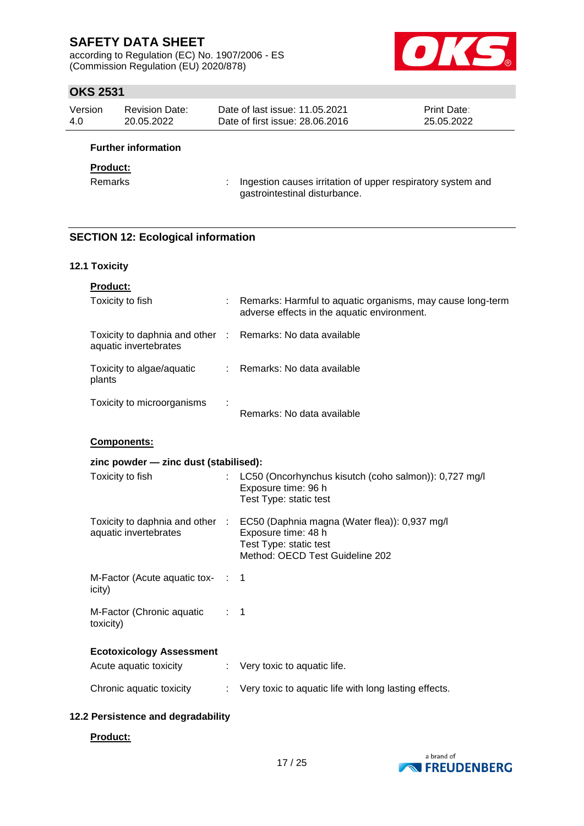according to Regulation (EC) No. 1907/2006 - ES (Commission Regulation (EU) 2020/878)



### **OKS 2531**

| Version | Revision Date: | Date of last issue: 11.05.2021  | <b>Print Date:</b> |
|---------|----------------|---------------------------------|--------------------|
| 4.0     | 20.05.2022     | Date of first issue: 28,06,2016 | 25.05.2022         |

### **Further information**

#### **Product:**

Remarks : Ingestion causes irritation of upper respiratory system and gastrointestinal disturbance.

### **SECTION 12: Ecological information**

#### **12.1 Toxicity**

| <b>Product:</b>                                                                     |                |                                                                                                                                                                   |
|-------------------------------------------------------------------------------------|----------------|-------------------------------------------------------------------------------------------------------------------------------------------------------------------|
| Toxicity to fish                                                                    |                | Remarks: Harmful to aquatic organisms, may cause long-term<br>adverse effects in the aquatic environment.                                                         |
| Toxicity to daphnia and other : Remarks: No data available<br>aquatic invertebrates |                |                                                                                                                                                                   |
| Toxicity to algae/aquatic<br>plants                                                 |                | : Remarks: No data available                                                                                                                                      |
| Toxicity to microorganisms                                                          |                | Remarks: No data available                                                                                                                                        |
| Components:                                                                         |                |                                                                                                                                                                   |
| zinc powder - zinc dust (stabilised):                                               |                |                                                                                                                                                                   |
| Toxicity to fish                                                                    |                | LC50 (Oncorhynchus kisutch (coho salmon)): 0,727 mg/l<br>Exposure time: 96 h<br>Test Type: static test                                                            |
| aquatic invertebrates                                                               |                | Toxicity to daphnia and other : EC50 (Daphnia magna (Water flea)): 0,937 mg/l<br>Exposure time: 48 h<br>Test Type: static test<br>Method: OECD Test Guideline 202 |
| M-Factor (Acute aquatic tox- : 1<br>icity)                                          |                |                                                                                                                                                                   |
| M-Factor (Chronic aquatic<br>toxicity)                                              | $\therefore$ 1 |                                                                                                                                                                   |
|                                                                                     |                |                                                                                                                                                                   |
| <b>Ecotoxicology Assessment</b><br>Acute aquatic toxicity                           |                | $\therefore$ Very toxic to aquatic life.                                                                                                                          |
| Chronic aquatic toxicity                                                            |                | Very toxic to aquatic life with long lasting effects.                                                                                                             |

#### **12.2 Persistence and degradability**

**Product:**

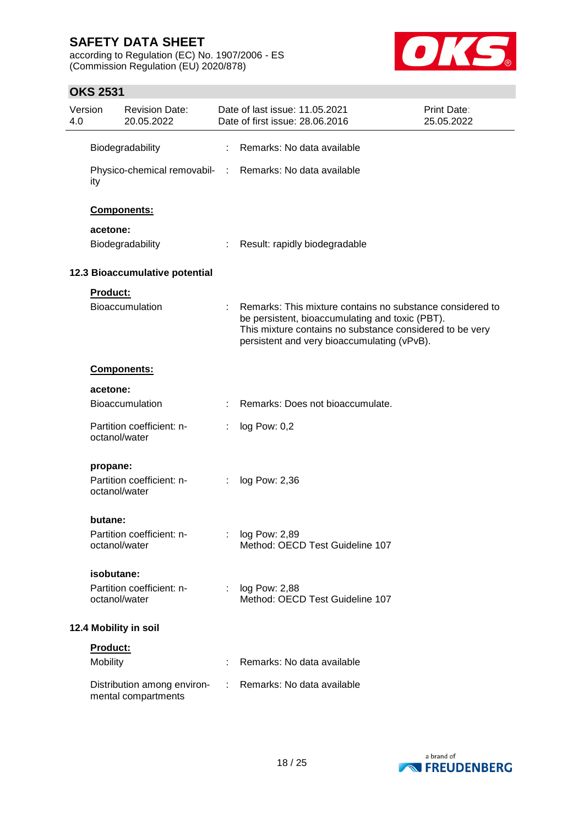according to Regulation (EC) No. 1907/2006 - ES (Commission Regulation (EU) 2020/878)



| Version<br>4.0 |            | <b>Revision Date:</b><br>20.05.2022                      |   | Date of last issue: 11.05.2021<br>Date of first issue: 28.06.2016 |                                                                                                                                                                                                                         | Print Date:<br>25.05.2022 |
|----------------|------------|----------------------------------------------------------|---|-------------------------------------------------------------------|-------------------------------------------------------------------------------------------------------------------------------------------------------------------------------------------------------------------------|---------------------------|
|                |            | Biodegradability                                         |   |                                                                   | Remarks: No data available                                                                                                                                                                                              |                           |
|                | ity        | Physico-chemical removabil- : Remarks: No data available |   |                                                                   |                                                                                                                                                                                                                         |                           |
|                |            | Components:                                              |   |                                                                   |                                                                                                                                                                                                                         |                           |
|                | acetone:   | Biodegradability                                         | ÷ |                                                                   | Result: rapidly biodegradable                                                                                                                                                                                           |                           |
|                |            |                                                          |   |                                                                   |                                                                                                                                                                                                                         |                           |
|                | Product:   | 12.3 Bioaccumulative potential                           |   |                                                                   |                                                                                                                                                                                                                         |                           |
|                |            | Bioaccumulation                                          |   |                                                                   | Remarks: This mixture contains no substance considered to<br>be persistent, bioaccumulating and toxic (PBT).<br>This mixture contains no substance considered to be very<br>persistent and very bioaccumulating (vPvB). |                           |
|                |            | <b>Components:</b>                                       |   |                                                                   |                                                                                                                                                                                                                         |                           |
|                | acetone:   |                                                          |   |                                                                   |                                                                                                                                                                                                                         |                           |
|                |            | <b>Bioaccumulation</b>                                   |   |                                                                   | Remarks: Does not bioaccumulate.                                                                                                                                                                                        |                           |
|                |            | Partition coefficient: n-<br>octanol/water               |   | log Pow: 0,2                                                      |                                                                                                                                                                                                                         |                           |
|                | propane:   | Partition coefficient: n-<br>octanol/water               | ÷ | log Pow: 2,36                                                     |                                                                                                                                                                                                                         |                           |
|                | butane:    |                                                          |   |                                                                   |                                                                                                                                                                                                                         |                           |
|                |            | Partition coefficient: n-<br>octanol/water               |   | log Pow: 2,89                                                     | Method: OECD Test Guideline 107                                                                                                                                                                                         |                           |
|                | isobutane: |                                                          |   |                                                                   |                                                                                                                                                                                                                         |                           |
|                |            | Partition coefficient: n-<br>octanol/water               |   | log Pow: 2,88                                                     | Method: OECD Test Guideline 107                                                                                                                                                                                         |                           |
|                |            | 12.4 Mobility in soil                                    |   |                                                                   |                                                                                                                                                                                                                         |                           |
|                | Product:   |                                                          |   |                                                                   |                                                                                                                                                                                                                         |                           |
|                | Mobility   |                                                          |   |                                                                   | Remarks: No data available                                                                                                                                                                                              |                           |
|                |            | Distribution among environ-<br>mental compartments       |   |                                                                   | Remarks: No data available                                                                                                                                                                                              |                           |

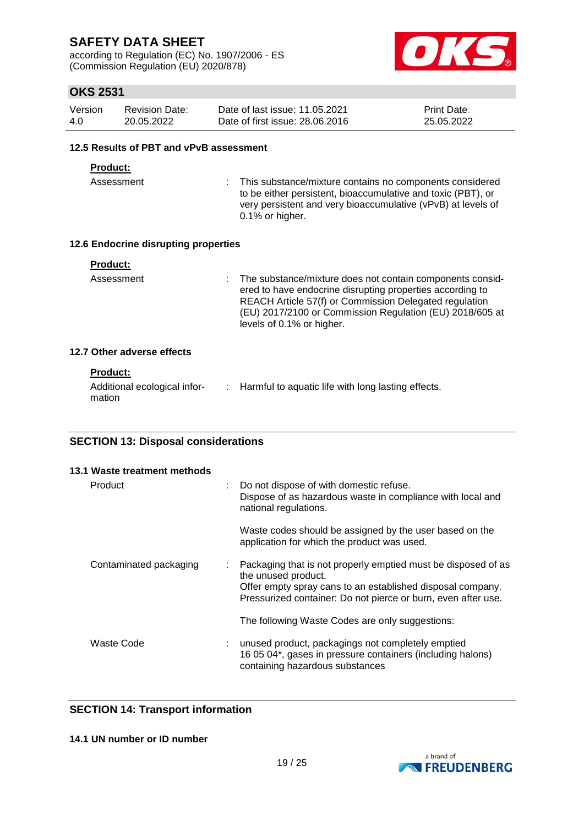according to Regulation (EC) No. 1907/2006 - ES (Commission Regulation (EU) 2020/878)



## **OKS 2531**

| Version | <b>Revision Date:</b> | Date of last issue: 11.05.2021  | <b>Print Date:</b> |
|---------|-----------------------|---------------------------------|--------------------|
| 4.0     | 20.05.2022            | Date of first issue: 28,06,2016 | 25.05.2022         |

#### **12.5 Results of PBT and vPvB assessment**

#### **Product:**

Assessment : This substance/mixture contains no components considered to be either persistent, bioaccumulative and toxic (PBT), or very persistent and very bioaccumulative (vPvB) at levels of 0.1% or higher.

#### **12.6 Endocrine disrupting properties**

|  |  |  | Product: |  |
|--|--|--|----------|--|
|--|--|--|----------|--|

Assessment : The substance/mixture does not contain components considered to have endocrine disrupting properties according to REACH Article 57(f) or Commission Delegated regulation (EU) 2017/2100 or Commission Regulation (EU) 2018/605 at levels of 0.1% or higher.

#### **12.7 Other adverse effects**

#### **Product:**

| Additional ecological infor- | Harmful to aquatic life with long lasting effects. |
|------------------------------|----------------------------------------------------|
| mation                       |                                                    |

### **SECTION 13: Disposal considerations**

| 13.1 Waste treatment methods |   |                                                                                                                                                                                                                     |
|------------------------------|---|---------------------------------------------------------------------------------------------------------------------------------------------------------------------------------------------------------------------|
| Product                      | ÷ | Do not dispose of with domestic refuse.<br>Dispose of as hazardous waste in compliance with local and<br>national regulations.                                                                                      |
|                              |   | Waste codes should be assigned by the user based on the<br>application for which the product was used.                                                                                                              |
| Contaminated packaging       | ÷ | Packaging that is not properly emptied must be disposed of as<br>the unused product.<br>Offer empty spray cans to an established disposal company.<br>Pressurized container: Do not pierce or burn, even after use. |
|                              |   | The following Waste Codes are only suggestions:                                                                                                                                                                     |
| Waste Code                   | ÷ | unused product, packagings not completely emptied<br>16 05 04*, gases in pressure containers (including halons)<br>containing hazardous substances                                                                  |

### **SECTION 14: Transport information**

**14.1 UN number or ID number**

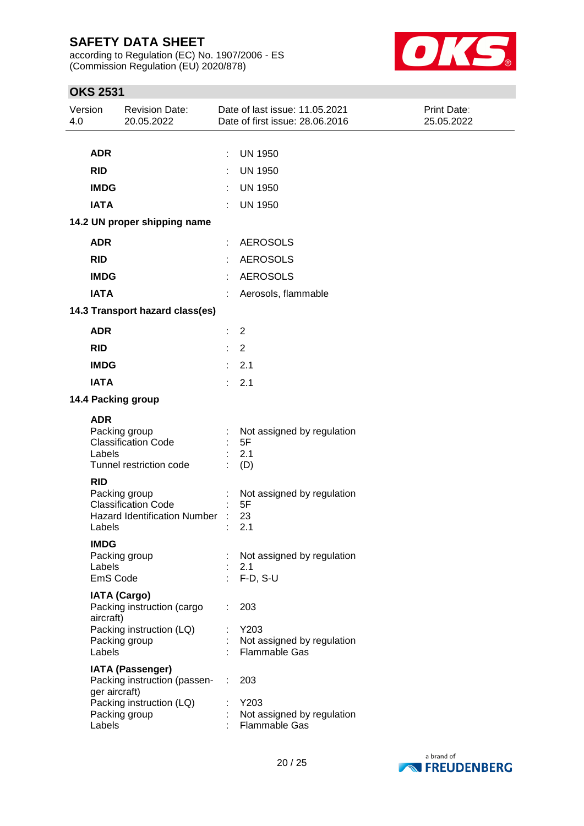according to Regulation (EC) No. 1907/2006 - ES (Commission Regulation (EU) 2020/878)



| Version<br>4.0 |                                   | <b>Revision Date:</b><br>20.05.2022                                                                  |    | Date of last issue: 11.05.2021<br>Date of first issue: 28.06.2016 | Print Date:<br>25.05.2022 |
|----------------|-----------------------------------|------------------------------------------------------------------------------------------------------|----|-------------------------------------------------------------------|---------------------------|
|                |                                   |                                                                                                      |    |                                                                   |                           |
|                | <b>ADR</b>                        |                                                                                                      |    | <b>UN 1950</b>                                                    |                           |
|                | <b>RID</b>                        |                                                                                                      |    | <b>UN 1950</b>                                                    |                           |
|                | <b>IMDG</b>                       |                                                                                                      |    | <b>UN 1950</b>                                                    |                           |
|                | <b>IATA</b>                       |                                                                                                      |    | <b>UN 1950</b>                                                    |                           |
|                |                                   | 14.2 UN proper shipping name                                                                         |    |                                                                   |                           |
|                | <b>ADR</b>                        |                                                                                                      | ÷. | <b>AEROSOLS</b>                                                   |                           |
|                | <b>RID</b>                        |                                                                                                      |    | <b>AEROSOLS</b>                                                   |                           |
|                | <b>IMDG</b>                       |                                                                                                      |    | <b>AEROSOLS</b>                                                   |                           |
|                | <b>IATA</b>                       |                                                                                                      |    | Aerosols, flammable                                               |                           |
|                |                                   | 14.3 Transport hazard class(es)                                                                      |    |                                                                   |                           |
|                | <b>ADR</b>                        |                                                                                                      |    | 2                                                                 |                           |
|                | <b>RID</b>                        |                                                                                                      |    | $\overline{2}$                                                    |                           |
|                | <b>IMDG</b>                       |                                                                                                      | ÷. | 2.1                                                               |                           |
|                | <b>IATA</b>                       |                                                                                                      | ÷. | 2.1                                                               |                           |
|                |                                   | 14.4 Packing group                                                                                   |    |                                                                   |                           |
|                | <b>ADR</b>                        |                                                                                                      |    |                                                                   |                           |
|                | Labels                            | Packing group<br><b>Classification Code</b><br>Tunnel restriction code                               |    | Not assigned by regulation<br>5F<br>2.1<br>(D)                    |                           |
|                | <b>RID</b><br>Labels              | Packing group<br><b>Classification Code</b><br><b>Hazard Identification Number</b>                   |    | Not assigned by regulation<br>5F<br>23<br>2.1                     |                           |
|                | <b>IMDG</b><br>Labels<br>EmS Code | Packing group                                                                                        |    | Not assigned by regulation<br>2.1<br>$F-D, S-U$                   |                           |
|                | aircraft)<br>Labels               | <b>IATA (Cargo)</b><br>Packing instruction (cargo<br>Packing instruction (LQ)<br>Packing group       | ÷. | 203<br>Y203<br>Not assigned by regulation<br>Flammable Gas        |                           |
|                | ger aircraft)<br>Labels           | <b>IATA (Passenger)</b><br>Packing instruction (passen-<br>Packing instruction (LQ)<br>Packing group | ÷. | 203<br>Y203<br>Not assigned by regulation<br>Flammable Gas        |                           |

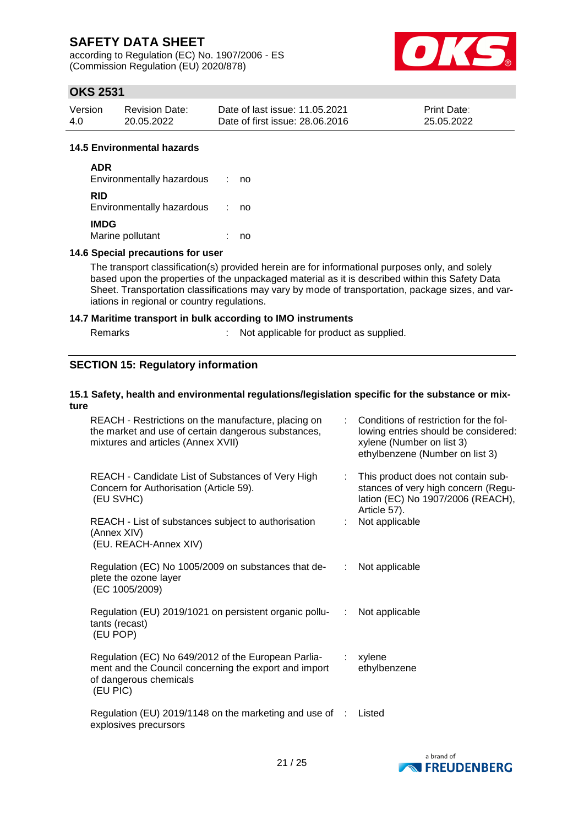according to Regulation (EC) No. 1907/2006 - ES (Commission Regulation (EU) 2020/878)



## **OKS 2531**

| Version | <b>Revision Date:</b> | Date of last issue: 11.05.2021  | <b>Print Date:</b> |
|---------|-----------------------|---------------------------------|--------------------|
| 4.0     | 20.05.2022            | Date of first issue: 28,06,2016 | 25.05.2022         |

#### **14.5 Environmental hazards**

| <b>ADR</b><br>Environmentally hazardous | no |
|-----------------------------------------|----|
| RID<br>Environmentally hazardous        | no |
| <b>IMDG</b><br>Marine pollutant         | no |

### **14.6 Special precautions for user**

The transport classification(s) provided herein are for informational purposes only, and solely based upon the properties of the unpackaged material as it is described within this Safety Data Sheet. Transportation classifications may vary by mode of transportation, package sizes, and variations in regional or country regulations.

#### **14.7 Maritime transport in bulk according to IMO instruments**

Remarks : Not applicable for product as supplied.

### **SECTION 15: Regulatory information**

#### **15.1 Safety, health and environmental regulations/legislation specific for the substance or mixture**

| REACH - Restrictions on the manufacture, placing on<br>the market and use of certain dangerous substances,<br>mixtures and articles (Annex XVII)   |    | Conditions of restriction for the fol-<br>lowing entries should be considered:<br>xylene (Number on list 3)<br>ethylbenzene (Number on list 3) |
|----------------------------------------------------------------------------------------------------------------------------------------------------|----|------------------------------------------------------------------------------------------------------------------------------------------------|
| REACH - Candidate List of Substances of Very High<br>Concern for Authorisation (Article 59).<br>(EU SVHC)                                          | t. | This product does not contain sub-<br>stances of very high concern (Regu-<br>lation (EC) No 1907/2006 (REACH),<br>Article 57).                 |
| REACH - List of substances subject to authorisation<br>(Annex XIV)<br>(EU. REACH-Annex XIV)                                                        |    | Not applicable                                                                                                                                 |
| Regulation (EC) No 1005/2009 on substances that de-<br>plete the ozone layer<br>(EC 1005/2009)                                                     | ÷. | Not applicable                                                                                                                                 |
| Regulation (EU) 2019/1021 on persistent organic pollu-<br>tants (recast)<br>(EU POP)                                                               | ÷  | Not applicable                                                                                                                                 |
| Regulation (EC) No 649/2012 of the European Parlia-<br>ment and the Council concerning the export and import<br>of dangerous chemicals<br>(EU PIC) |    | xylene<br>ethylbenzene                                                                                                                         |
| Regulation (EU) 2019/1148 on the marketing and use of :<br>explosives precursors                                                                   |    | Listed                                                                                                                                         |

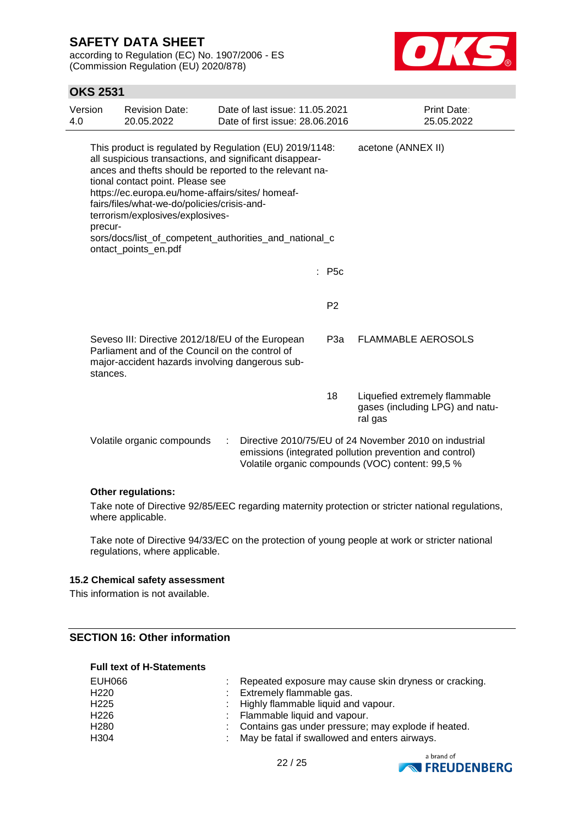according to Regulation (EC) No. 1907/2006 - ES (Commission Regulation (EU) 2020/878)



### **OKS 2531**

| Version<br>4.0                                                                                                                                                                                                                                                                                                                                                                                                                                        |          | <b>Revision Date:</b><br>20.05.2022                                                                                                                    |  | Date of last issue: 11.05.2021<br>Date of first issue: 28.06.2016 |  |                  |                                                                                                                                                                       | <b>Print Date:</b><br>25.05.2022                                 |
|-------------------------------------------------------------------------------------------------------------------------------------------------------------------------------------------------------------------------------------------------------------------------------------------------------------------------------------------------------------------------------------------------------------------------------------------------------|----------|--------------------------------------------------------------------------------------------------------------------------------------------------------|--|-------------------------------------------------------------------|--|------------------|-----------------------------------------------------------------------------------------------------------------------------------------------------------------------|------------------------------------------------------------------|
| This product is regulated by Regulation (EU) 2019/1148:<br>all suspicious transactions, and significant disappear-<br>ances and thefts should be reported to the relevant na-<br>tional contact point. Please see<br>https://ec.europa.eu/home-affairs/sites/ homeaf-<br>fairs/files/what-we-do/policies/crisis-and-<br>terrorism/explosives/explosives-<br>precur-<br>sors/docs/list_of_competent_authorities_and_national_c<br>ontact_points_en.pdf |          |                                                                                                                                                        |  |                                                                   |  |                  | acetone (ANNEX II)                                                                                                                                                    |                                                                  |
|                                                                                                                                                                                                                                                                                                                                                                                                                                                       |          |                                                                                                                                                        |  |                                                                   |  | : P5c            |                                                                                                                                                                       |                                                                  |
|                                                                                                                                                                                                                                                                                                                                                                                                                                                       |          |                                                                                                                                                        |  |                                                                   |  | P <sub>2</sub>   |                                                                                                                                                                       |                                                                  |
|                                                                                                                                                                                                                                                                                                                                                                                                                                                       | stances. | Seveso III: Directive 2012/18/EU of the European<br>Parliament and of the Council on the control of<br>major-accident hazards involving dangerous sub- |  |                                                                   |  | P <sub>3</sub> a | <b>FLAMMABLE AEROSOLS</b>                                                                                                                                             |                                                                  |
|                                                                                                                                                                                                                                                                                                                                                                                                                                                       |          |                                                                                                                                                        |  |                                                                   |  | 18               | ral gas                                                                                                                                                               | Liquefied extremely flammable<br>gases (including LPG) and natu- |
|                                                                                                                                                                                                                                                                                                                                                                                                                                                       |          | Volatile organic compounds                                                                                                                             |  |                                                                   |  |                  | Directive 2010/75/EU of 24 November 2010 on industrial<br>emissions (integrated pollution prevention and control)<br>Volatile organic compounds (VOC) content: 99,5 % |                                                                  |

#### **Other regulations:**

Take note of Directive 92/85/EEC regarding maternity protection or stricter national regulations, where applicable.

Take note of Directive 94/33/EC on the protection of young people at work or stricter national regulations, where applicable.

#### **15.2 Chemical safety assessment**

This information is not available.

### **SECTION 16: Other information**

#### **Full text of H-Statements**

| EUH066           | Repeated exposure may cause skin dryness or cracking. |
|------------------|-------------------------------------------------------|
| H <sub>220</sub> | : Extremely flammable gas.                            |
| H <sub>225</sub> | : Highly flammable liquid and vapour.                 |
| H <sub>226</sub> | : Flammable liquid and vapour.                        |
| H <sub>280</sub> | : Contains gas under pressure; may explode if heated. |
| H304             | : May be fatal if swallowed and enters airways.       |

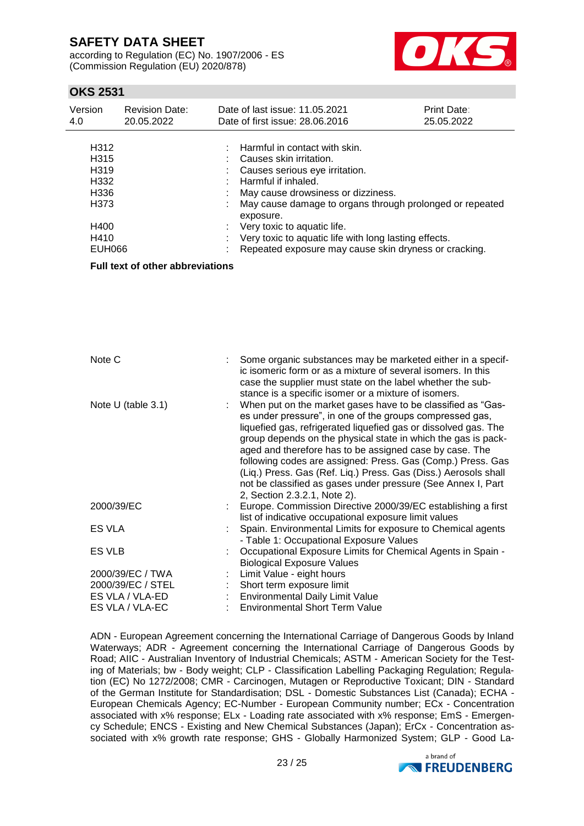according to Regulation (EC) No. 1907/2006 - ES (Commission Regulation (EU) 2020/878)



### **OKS 2531**

| Version<br>4.0    | <b>Revision Date:</b><br>20.05.2022 | Date of last issue: 11.05.2021<br>Date of first issue: 28,06,2016     | Print Date:<br>25.05.2022 |
|-------------------|-------------------------------------|-----------------------------------------------------------------------|---------------------------|
|                   |                                     |                                                                       |                           |
| H312              |                                     | $\therefore$ Harmful in contact with skin.                            |                           |
| H <sub>315</sub>  |                                     | : Causes skin irritation.                                             |                           |
| H <sub>319</sub>  |                                     | Causes serious eye irritation.                                        |                           |
| H332              |                                     | Harmful if inhaled.                                                   |                           |
| H <sub>336</sub>  |                                     | : May cause drowsiness or dizziness.                                  |                           |
| H <sub>3</sub> 73 |                                     | May cause damage to organs through prolonged or repeated<br>exposure. |                           |
| H400              |                                     | $\therefore$ Very toxic to aquatic life.                              |                           |
| H410              |                                     | : Very toxic to aquatic life with long lasting effects.               |                           |
| EUH066            |                                     | Repeated exposure may cause skin dryness or cracking.                 |                           |
|                   | 医无肌 不可以不可能 医心理 医心理 医抗生物 医无线虫科 医心包   |                                                                       |                           |

**Full text of other abbreviations**

| Some organic substances may be marketed either in a specif-<br>ic isomeric form or as a mixture of several isomers. In this<br>case the supplier must state on the label whether the sub-<br>stance is a specific isomer or a mixture of isomers.                                                                                                                                                                                                                                                                                                        |
|----------------------------------------------------------------------------------------------------------------------------------------------------------------------------------------------------------------------------------------------------------------------------------------------------------------------------------------------------------------------------------------------------------------------------------------------------------------------------------------------------------------------------------------------------------|
| When put on the market gases have to be classified as "Gas-<br>es under pressure", in one of the groups compressed gas,<br>liquefied gas, refrigerated liquefied gas or dissolved gas. The<br>group depends on the physical state in which the gas is pack-<br>aged and therefore has to be assigned case by case. The<br>following codes are assigned: Press. Gas (Comp.) Press. Gas<br>(Lig.) Press. Gas (Ref. Lig.) Press. Gas (Diss.) Aerosols shall<br>not be classified as gases under pressure (See Annex I, Part<br>2, Section 2.3.2.1, Note 2). |
| Europe. Commission Directive 2000/39/EC establishing a first<br>list of indicative occupational exposure limit values                                                                                                                                                                                                                                                                                                                                                                                                                                    |
| Spain. Environmental Limits for exposure to Chemical agents<br>- Table 1: Occupational Exposure Values                                                                                                                                                                                                                                                                                                                                                                                                                                                   |
| Occupational Exposure Limits for Chemical Agents in Spain -<br><b>Biological Exposure Values</b>                                                                                                                                                                                                                                                                                                                                                                                                                                                         |
| Limit Value - eight hours                                                                                                                                                                                                                                                                                                                                                                                                                                                                                                                                |
| Short term exposure limit                                                                                                                                                                                                                                                                                                                                                                                                                                                                                                                                |
| <b>Environmental Daily Limit Value</b>                                                                                                                                                                                                                                                                                                                                                                                                                                                                                                                   |
| <b>Environmental Short Term Value</b>                                                                                                                                                                                                                                                                                                                                                                                                                                                                                                                    |
|                                                                                                                                                                                                                                                                                                                                                                                                                                                                                                                                                          |

ADN - European Agreement concerning the International Carriage of Dangerous Goods by Inland Waterways; ADR - Agreement concerning the International Carriage of Dangerous Goods by Road; AIIC - Australian Inventory of Industrial Chemicals; ASTM - American Society for the Testing of Materials; bw - Body weight; CLP - Classification Labelling Packaging Regulation; Regulation (EC) No 1272/2008; CMR - Carcinogen, Mutagen or Reproductive Toxicant; DIN - Standard of the German Institute for Standardisation; DSL - Domestic Substances List (Canada); ECHA - European Chemicals Agency; EC-Number - European Community number; ECx - Concentration associated with x% response; ELx - Loading rate associated with x% response; EmS - Emergency Schedule; ENCS - Existing and New Chemical Substances (Japan); ErCx - Concentration associated with x% growth rate response; GHS - Globally Harmonized System; GLP - Good La-

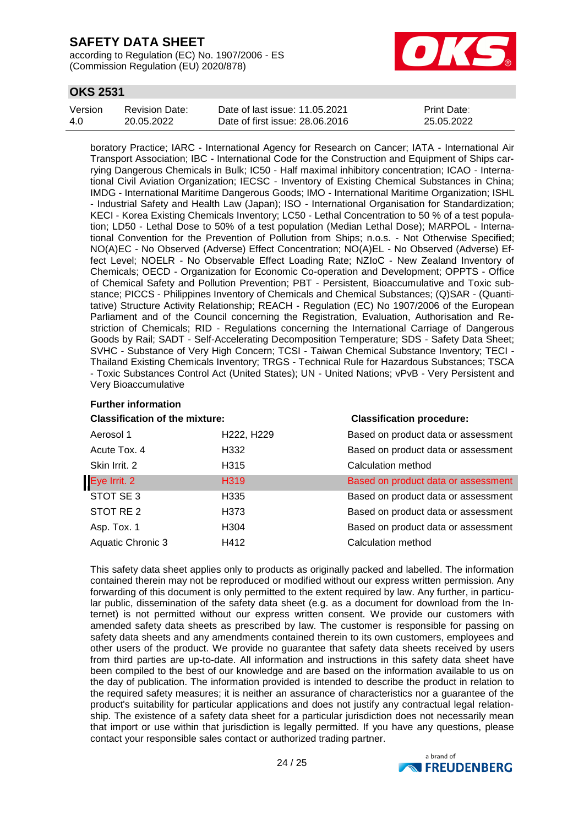**Further information**

according to Regulation (EC) No. 1907/2006 - ES (Commission Regulation (EU) 2020/878)



## **OKS 2531**

| Version | Revision Date: | Date of last issue: 11.05.2021  | <b>Print Date:</b> |
|---------|----------------|---------------------------------|--------------------|
| 4.0     | 20.05.2022     | Date of first issue: 28,06,2016 | 25.05.2022         |

boratory Practice; IARC - International Agency for Research on Cancer; IATA - International Air Transport Association; IBC - International Code for the Construction and Equipment of Ships carrying Dangerous Chemicals in Bulk; IC50 - Half maximal inhibitory concentration; ICAO - International Civil Aviation Organization; IECSC - Inventory of Existing Chemical Substances in China; IMDG - International Maritime Dangerous Goods; IMO - International Maritime Organization; ISHL - Industrial Safety and Health Law (Japan); ISO - International Organisation for Standardization; KECI - Korea Existing Chemicals Inventory; LC50 - Lethal Concentration to 50 % of a test population; LD50 - Lethal Dose to 50% of a test population (Median Lethal Dose); MARPOL - International Convention for the Prevention of Pollution from Ships; n.o.s. - Not Otherwise Specified; NO(A)EC - No Observed (Adverse) Effect Concentration; NO(A)EL - No Observed (Adverse) Effect Level; NOELR - No Observable Effect Loading Rate; NZIoC - New Zealand Inventory of Chemicals; OECD - Organization for Economic Co-operation and Development; OPPTS - Office of Chemical Safety and Pollution Prevention; PBT - Persistent, Bioaccumulative and Toxic substance; PICCS - Philippines Inventory of Chemicals and Chemical Substances; (Q)SAR - (Quantitative) Structure Activity Relationship; REACH - Regulation (EC) No 1907/2006 of the European Parliament and of the Council concerning the Registration, Evaluation, Authorisation and Restriction of Chemicals; RID - Regulations concerning the International Carriage of Dangerous Goods by Rail; SADT - Self-Accelerating Decomposition Temperature; SDS - Safety Data Sheet; SVHC - Substance of Very High Concern; TCSI - Taiwan Chemical Substance Inventory; TECI - Thailand Existing Chemicals Inventory; TRGS - Technical Rule for Hazardous Substances; TSCA - Toxic Substances Control Act (United States); UN - United Nations; vPvB - Very Persistent and Very Bioaccumulative

| <u>ı uluları illibi iliatibil</u>     |            |                                     |
|---------------------------------------|------------|-------------------------------------|
| <b>Classification of the mixture:</b> |            | <b>Classification procedure:</b>    |
| Aerosol 1                             | H222, H229 | Based on product data or assessment |
| Acute Tox, 4                          | H332       | Based on product data or assessment |
| Skin Irrit. 2                         | H315       | Calculation method                  |
| Eye Irrit. 2                          | H319       | Based on product data or assessment |
| STOT SE 3                             | H335       | Based on product data or assessment |
| STOT RE 2                             | H373       | Based on product data or assessment |
| Asp. Tox. 1                           | H304       | Based on product data or assessment |
| Aquatic Chronic 3                     | H412       | Calculation method                  |
|                                       |            |                                     |

This safety data sheet applies only to products as originally packed and labelled. The information contained therein may not be reproduced or modified without our express written permission. Any forwarding of this document is only permitted to the extent required by law. Any further, in particular public, dissemination of the safety data sheet (e.g. as a document for download from the Internet) is not permitted without our express written consent. We provide our customers with amended safety data sheets as prescribed by law. The customer is responsible for passing on safety data sheets and any amendments contained therein to its own customers, employees and other users of the product. We provide no guarantee that safety data sheets received by users from third parties are up-to-date. All information and instructions in this safety data sheet have been compiled to the best of our knowledge and are based on the information available to us on the day of publication. The information provided is intended to describe the product in relation to the required safety measures; it is neither an assurance of characteristics nor a guarantee of the product's suitability for particular applications and does not justify any contractual legal relationship. The existence of a safety data sheet for a particular jurisdiction does not necessarily mean that import or use within that jurisdiction is legally permitted. If you have any questions, please contact your responsible sales contact or authorized trading partner.